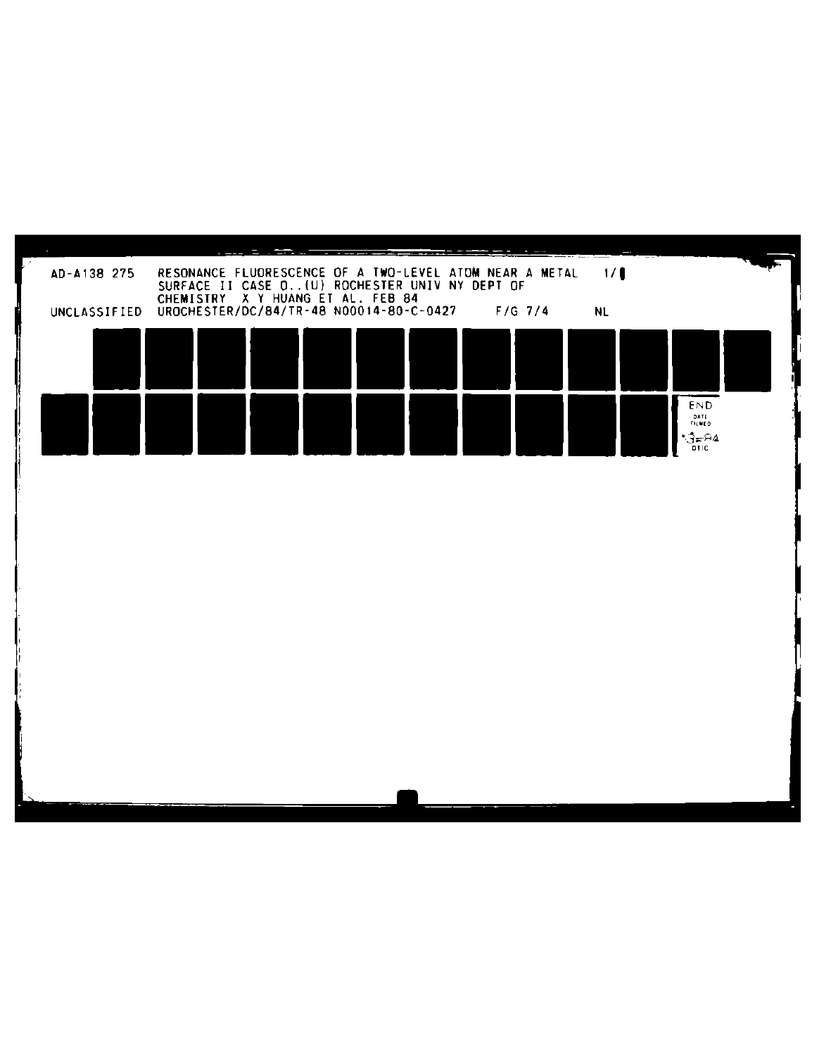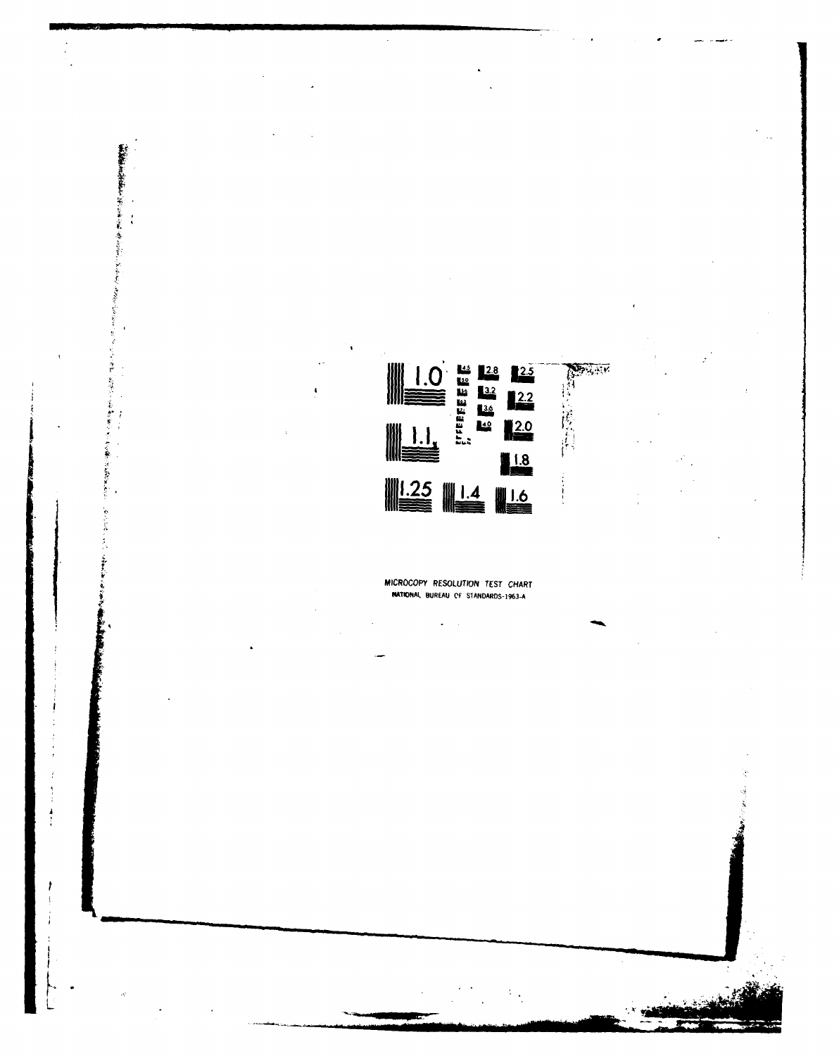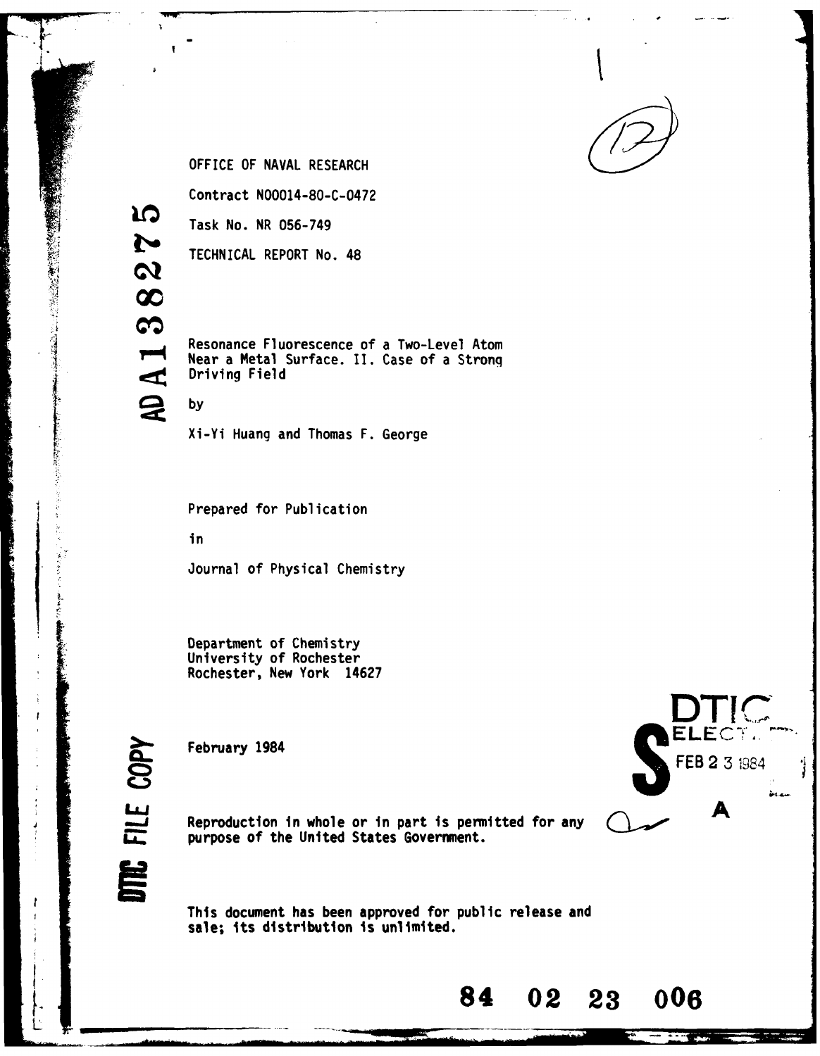

OFFICE OF NAVAL RESEARCH

Contract **N00014-80-C-0472**

Task No. NR **056-749**

TECHNICAL REPORT No. 48

Resonance Fluorescence of a Two-Level Atom Resonance Flue<br>Solar a Metal<br>Driving Field Near a Metal Surface. II. Case of a Stronq

S **by**

**IQ** 

N

 $\boldsymbol{\omega}$  $\infty$ 

 $\boldsymbol{\omega}$ 

あいまい あいこう

Xi-Yi Huang and Thomas F. George

Prepared for Publication

in

Journal of Physical Chemistry

Department of Chemistry University of Rochester Rochester, New York 14627



Reproduction in whole or in part is permitted for any **LA.**<br>**Reproduction in whole or in part is perm**<br>purpose of the United States Government.

> This document has been approved for public release and sale; its distribution is unlimited.

**DTIC C)** FEB 2 **3** <sup>1984</sup> Ъ.

**84 02 23 006**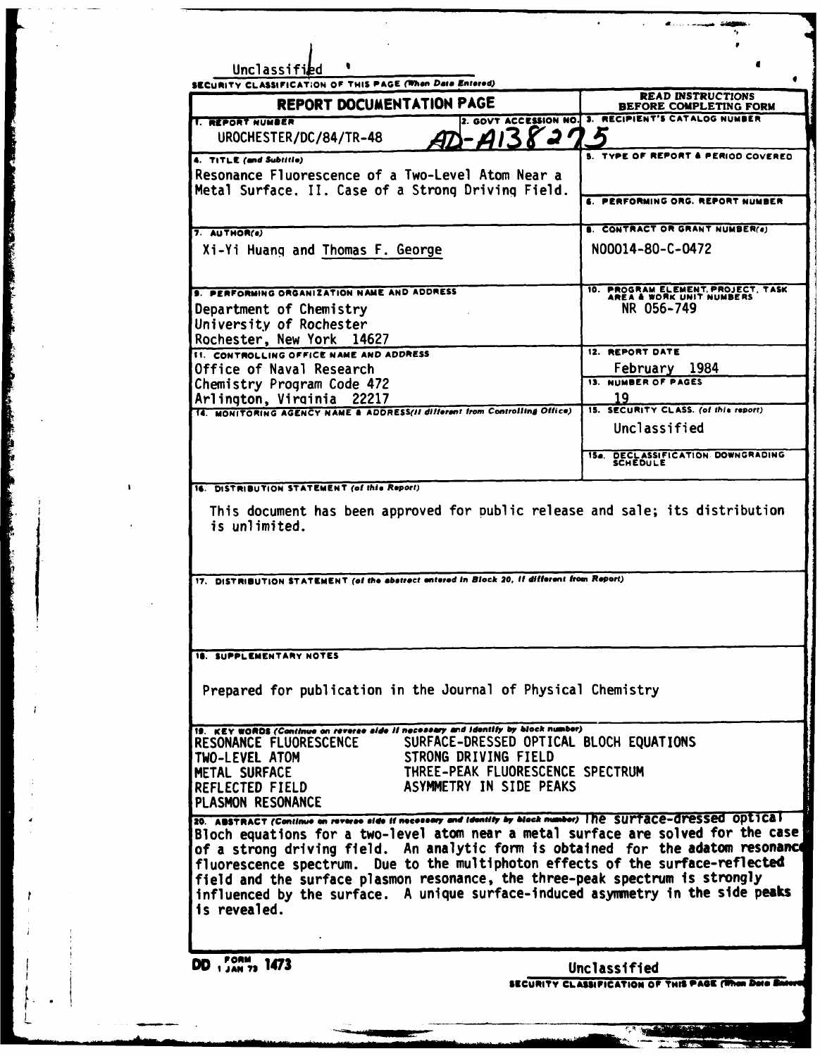| SECURITY CLASSIFICATION OF THIS PAGE (When Data Entered)<br>REPORT DOCUMENTATION PAGE                                                                                                                                                                                                                                                                                                                                                                                                                                                                       | <b>READ INSTRUCTIONS</b><br>BEFORE COMPLETING FORM             |
|-------------------------------------------------------------------------------------------------------------------------------------------------------------------------------------------------------------------------------------------------------------------------------------------------------------------------------------------------------------------------------------------------------------------------------------------------------------------------------------------------------------------------------------------------------------|----------------------------------------------------------------|
| <b>T. REPORT NUMBER</b>                                                                                                                                                                                                                                                                                                                                                                                                                                                                                                                                     | 2. GOVT ACCESSION NO. 3. RECIPIENT'S CATALOG NUMBER            |
| gr)-AI38275<br>UROCHESTER/DC/84/TR-48                                                                                                                                                                                                                                                                                                                                                                                                                                                                                                                       |                                                                |
| 4. TITLE (and Subtitle)                                                                                                                                                                                                                                                                                                                                                                                                                                                                                                                                     | S. TYPE OF REPORT & PERIOD COVERED                             |
| Resonance Fluorescence of a Two-Level Atom Near a                                                                                                                                                                                                                                                                                                                                                                                                                                                                                                           |                                                                |
| Metal Surface. II. Case of a Strong Driving Field.                                                                                                                                                                                                                                                                                                                                                                                                                                                                                                          | 6. PERFORMING ORG. REPORT NUMBER                               |
|                                                                                                                                                                                                                                                                                                                                                                                                                                                                                                                                                             |                                                                |
| 7. AUTHOR(a)                                                                                                                                                                                                                                                                                                                                                                                                                                                                                                                                                | <b>E. CONTRACT OR GRANT NUMBER(8)</b>                          |
| Xi-Yi Huang and Thomas F. George                                                                                                                                                                                                                                                                                                                                                                                                                                                                                                                            | N00014-80-C-0472                                               |
| <b>S. PERFORMING ORGANIZATION NAME AND ADDRESS</b>                                                                                                                                                                                                                                                                                                                                                                                                                                                                                                          | 10. PROGRAM ELEMENT, PROJECT, TASK<br>AREA & WORK UNIT NUMBERS |
| Department of Chemistry                                                                                                                                                                                                                                                                                                                                                                                                                                                                                                                                     | NR 056-749                                                     |
| University of Rochester                                                                                                                                                                                                                                                                                                                                                                                                                                                                                                                                     |                                                                |
| Rochester, New York 14627<br><b>11. CONTROLLING OFFICE NAME AND ADDRESS</b>                                                                                                                                                                                                                                                                                                                                                                                                                                                                                 | 12. REPORT DATE                                                |
| Office of Naval Research                                                                                                                                                                                                                                                                                                                                                                                                                                                                                                                                    | February 1984                                                  |
| Chemistry Program Code 472                                                                                                                                                                                                                                                                                                                                                                                                                                                                                                                                  | <b>13. NUMBER OF PAGES</b>                                     |
| Arlington, Virginia 22217                                                                                                                                                                                                                                                                                                                                                                                                                                                                                                                                   | 19<br>15. SECURITY CLASS. (of this report)                     |
| 14. MONITORING AGENCY NAME & ADDRESS(II different from Controlling Office)                                                                                                                                                                                                                                                                                                                                                                                                                                                                                  | Unclassified                                                   |
|                                                                                                                                                                                                                                                                                                                                                                                                                                                                                                                                                             |                                                                |
|                                                                                                                                                                                                                                                                                                                                                                                                                                                                                                                                                             | 154. DECLASSIFICATION DOWNGRADING<br>SCHEDULE                  |
| This document has been approved for public release and sale; its distribution<br>is unlimited.                                                                                                                                                                                                                                                                                                                                                                                                                                                              |                                                                |
|                                                                                                                                                                                                                                                                                                                                                                                                                                                                                                                                                             |                                                                |
| Prepared for publication in the Journal of Physical Chemistry                                                                                                                                                                                                                                                                                                                                                                                                                                                                                               |                                                                |
| 16. DISTRIBUTION STATEMENT (of this Report)<br>17. DISTRIBUTION STATEMENT (of the abstract entered in Block 20, if different from Report)<br><b>18. SUPPLEMENTARY NOTES</b><br>19. KEY WORDS (Continue on reverse alde if necessary and identify by block number)<br>RESONANCE FLUORESCENCE SURFACE-DRESSED OPTICAL BLOCH EQUATIONS<br>STRONG DRIVING FIELD<br>TWO-LEVEL ATOM<br>THREE-PEAK FLUORESCENCE SPECTRUM<br>METAL SURFACE<br>ASYMMETRY IN SIDE PEAKS<br>REFLECTED FIELD<br>PLASMON RESONANCE                                                       |                                                                |
| 20. ABSTRACT (Continue on reverse side if necessary and identity by block number) The SUPTACE-dressed Optical<br>Bloch equations for a two-level atom near a metal surface are solved for the case<br>of a strong driving field. An analytic form is obtained for the adatom resonance<br>fluorescence spectrum. Due to the multiphoton effects of the surface-reflected<br>field and the surface plasmon resonance, the three-peak spectrum is strongly<br>influenced by the surface. A unique surface-induced asymmetry in the side peaks<br>is revealed. |                                                                |
| DD 1 JAN 73 1473                                                                                                                                                                                                                                                                                                                                                                                                                                                                                                                                            | Unclassified                                                   |

 $\lfloor$ 

**E** 

「大胆をならないので、「かないのでのない」ということに、「そのこと」ということをしていることで、「そのこと」ということをしていく、「そのこと」ということをもっているので、「そのこと」ということに、「

**Nillian** 

 $\mathbf{I}$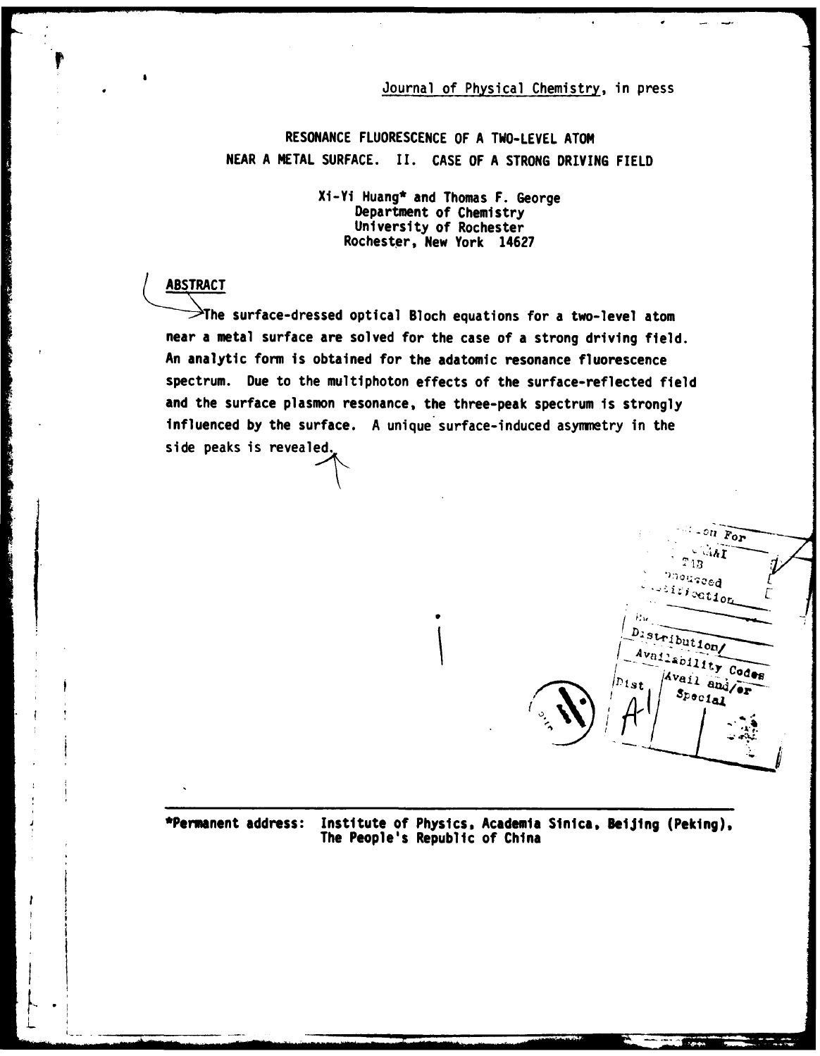# Journal of Physical Chemistry, in press

**RESONANCE FLUORESCENCE** OF **A** TWO-LEVEL **ATOM NEAR A** METAL **SURFACE. II. CASE** OF **A STRONG DRIVING FIELD**

> Xi-Yi Huang\* and Thomas F. George Department of Chemistry University of Rochester Rochester, New York 14627

# **ABSTRACT**

 $\ddot{\mathbf{r}}$ 

**West President Property** 

**The** surface-dressed optical Bloch equations for a two-level atom near a metal surface are solved for the case of a strong driving field. An analytic form is obtained for the adatomic resonance fluorescence spectrum. Due to the multiphoton effects of the surface-reflected field and the surface plasmon resonance, the three-peak spectrum is strongly influenced **by** the surface. A unique surface-induced asymmetry in the side peaks is revealed.



\*Permanent address: Institute of Physics, Academia Sinica, **Beljing** (Peking), The People's Republic of China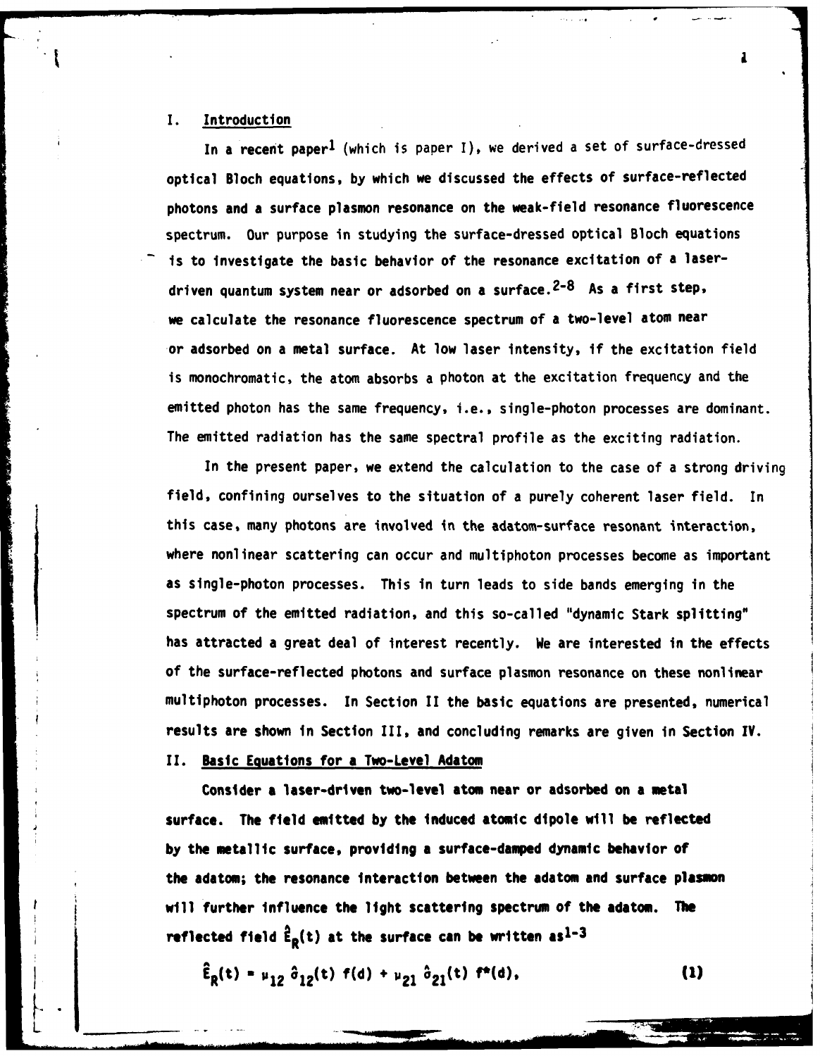## **I.** Introduction

In a recent paper<sup>1</sup> (which is paper I), we derived a set of surface-dressed optical Bloch equations, by which we discussed the effects of surface-reflected photons and a surface plasmon resonance on the weak-field resonance fluorescence spectrum. Our purpose in studying the surface-dressed optical Bloch equations is to investigate the basic behavior of the resonance excitation of a laserdriven quantum system near or adsorbed on a surface.<sup>2-8</sup> As a first step, we calculate the resonance fluorescence spectrum of a two-level atom near or adsorbed on a metal surface. At low laser intensity, if the excitation field is monochromatic, the atom absorbs a photon at the excitation frequency and the emitted photon has the same frequency, i.e., single-photon processes are dominant. The emitted radiation has the same spectral profile as the exciting radiation.

In the present paper, we extend the calculation to the case of a strong driving field, confining ourselves to the situation of a purely coherent laser field. In this case, many photons are involved in the adatom-surface resonant interaction, where nonlinear scattering can occur and multiphoton processes become as important as single-photon processes. This in turn leads to side bands emerging in the spectrum of the emitted radiation, and this so-called "dynamic Stark splitting" has attracted a great deal of interest recently. We are interested in the effects **of** the surface-reflected photons and surface plasmon resonance on these nonlinear multiphoton processes. In Section II the basic equations are presented, numerical results are shown in Section III, and concluding remarks are given in Section IV.

## II. Basic Equations for a Two-Level Adatom

L

Consider a laser-driven two-level atom near or adsorbed on a metal surface. The field emitted **by** the induced atomic dipole will be reflected **by** the metallic surface, providing a surface-damped dynamic behavior of the adatom; the resonance interaction between the adatom and surface plasmon will further influence the light scattering spectrum of the adatom. **The** reflected field  $\hat{\mathbf{f}}_{\mathbf{R}}(t)$  at the surface can be written as<sup>1-3</sup>

 $\hat{\mathbf{E}}_{R}(\mathbf{t}) = \mu_{12} \hat{\sigma}_{12}(\mathbf{t}) \mathbf{f}(\mathbf{d}) + \mu_{21} \hat{\sigma}_{21}(\mathbf{t}) \mathbf{f}^*(\mathbf{d}),$  (1)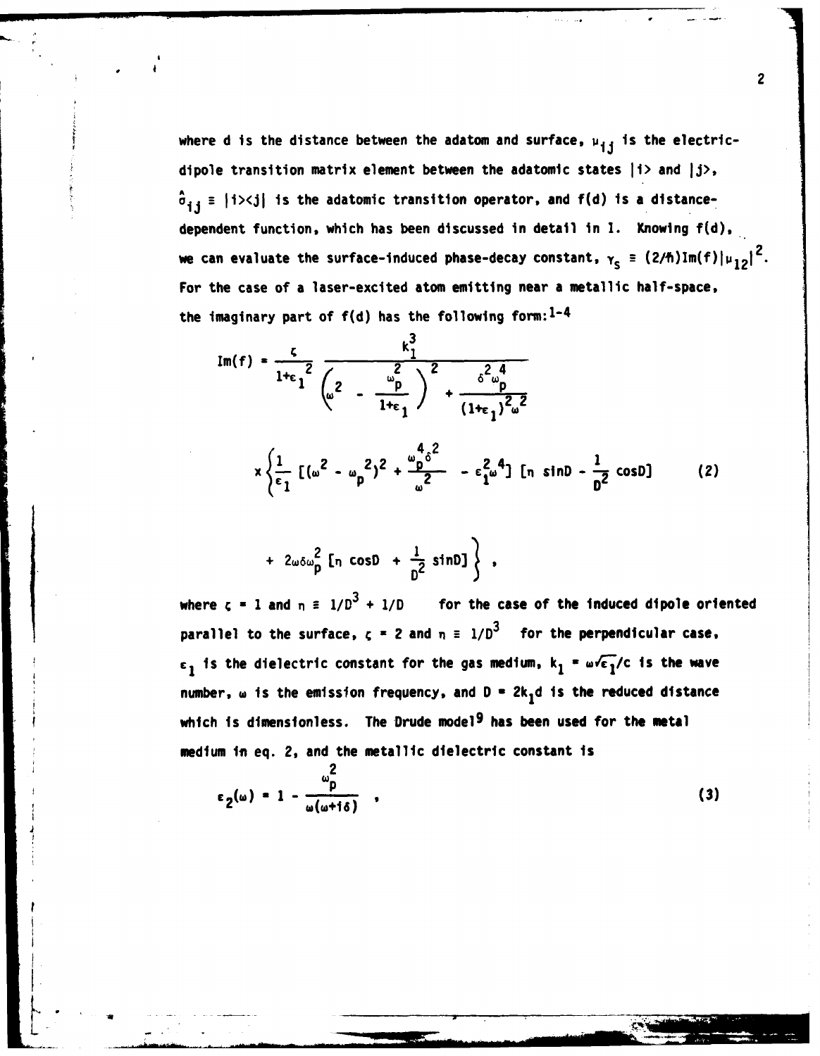where d is the distance between the adatom and surface,  $\mu_{ij}$  is the electricdipole transition matrix element between the adatomic states | i> and | j>,  $\hat{\sigma}_{1,i}$  =  $|i\rangle$  <j| is the adatomic transition operator, and  $f(d)$  is a distancedependent function, which has been discussed in detail in **1.** Knowing **f(d),** we can evaluate the surface-induced phase-decay constant,  $\gamma_{\rm s} \equiv (2/\hbar)\,\text{Im(f)}\,|\mu_{12}|^2$ . For the case of a laser-excited atom emitting near a metallic half-space, the imaginary part of **f(d)** has the following **form: <sup>1</sup> -4**

$$
\text{Im}(f) = \frac{\zeta}{1+\epsilon_1^2} \frac{k_1^3}{(\omega^2 - \frac{\omega_p}{1+\epsilon_1})^2 + \frac{\delta^2 \omega_p^4}{(1+\epsilon_1)^2 \omega^2}}
$$
\n
$$
\times \frac{\frac{1}{\epsilon_1} [(\omega^2 - \omega_p^2)^2 + \frac{\omega_p^4 \delta^2}{\omega^2} - \epsilon_1^2 \omega^4] [n \sinh^{-\frac{1}{2}} \cosh^{-1} (2)]}
$$

$$
+ 2\omega \delta \omega_p^2 \left[ \eta \cos \theta + \frac{1}{D^2} \sin \theta \right] \bigg\} ,
$$

- 4

where  $\zeta = 1$  and  $\eta = 1/D^3 + 1/D$  for the case of the induced dipole oriented parallel to the surface,  $c = 2$  and  $n = 1/D^3$  for the perpendicular case,  $\epsilon_1$  is the dielectric constant for the gas medium,  $k_1$  **a**  $\sqrt{\epsilon_1}/c$  is the wave number,  $\omega$  is the emission frequency, and D = 2k<sub>1</sub>d is the reduced distance which is dimensionless. The Drude model<sup>9</sup> has been used for the metal medium in eq. 2, and the metallic dielectric constant is

$$
\epsilon_2(\omega) = 1 - \frac{\omega_p^2}{\omega(\omega + i\delta)} \quad , \tag{3}
$$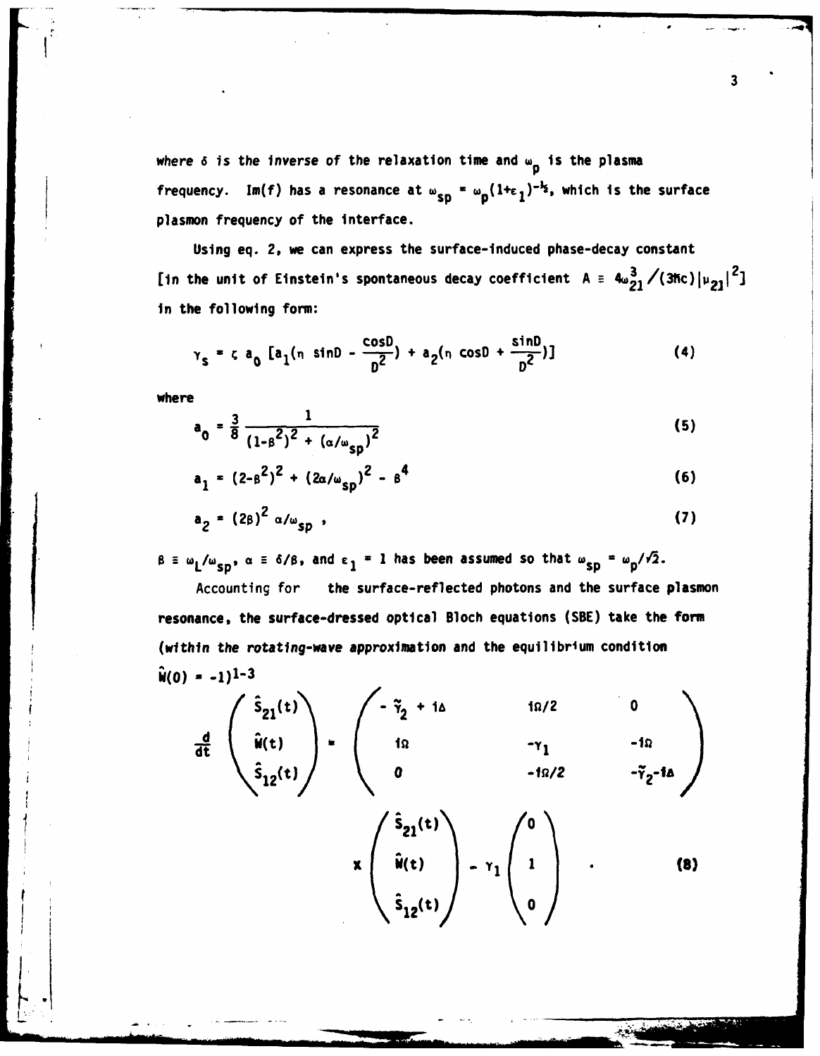where 6 is the inverse of the relaxation time and w<sub>p</sub> is the plasma frequency. Im(f) has a resonance at  $\omega_{sp} = \omega_p(1+\epsilon_1)^{-k_p}$ , which is the surface plasmon frequency of the interface.

Using eq. 2, we can express the surface-Induced phase-decay constant [in the unit of Einstein's spontaneous decay coefficient  $A = 4\omega_{21}^2/(3\hbar c)\left[\nu_{21}\right]^2$ ] in the following form:

$$
\gamma_{s} = c a_0 [a_1(n \sin\theta - \frac{\cos\theta}{\theta^{2}}) + a_2(n \cos\theta + \frac{\sin\theta}{\theta^{2}})]
$$
 (4)

where

$$
a_0 = \frac{3}{8} \frac{1}{(1 - \beta^2)^2 + (\alpha/\omega_{sp})^2}
$$
 (5)

$$
a_1 = (2 - \beta^2)^2 + (2\alpha/\omega_{sp})^2 - \beta^4
$$
 (6)

$$
a_2 = (2\beta)^2 \alpha/\omega_{sp} \tag{7}
$$

 $\beta \equiv \omega_L/\omega_{sp}$ ,  $\alpha \equiv \delta/\beta$ , and  $\epsilon_1 = 1$  has been assumed so that  $\omega_{sp} = \omega_p/\sqrt{2}$ .

Accounting for the surface-reflected photons and the surface plasmon resonance, the surface-dressed optical Bloch equations **(SBE)** take the form (within the rotating-wave approximation and the equilibrium condition  $\hat{w}(0) = -1$ )<sup>1-3</sup>

$$
\frac{d}{dt}\begin{pmatrix}\hat{s}_{21}(t)\\ \hat{w}(t)\\ \hat{s}_{12}(t)\end{pmatrix} = \begin{pmatrix}-\tilde{\gamma}_{2} + i\Delta & i\Omega/2 & 0\\ 1\Omega & -\gamma_{1} & -i\Omega\\ 0 & -i\Omega/2 & -\tilde{\gamma}_{2} - i\Delta\end{pmatrix}
$$
\n
$$
\times \begin{pmatrix}\hat{s}_{21}(t)\\ \hat{w}(t)\\ \hat{s}_{12}(t)\end{pmatrix} - \gamma_{1} \begin{pmatrix}\n0\\ 1\\ 0\n\end{pmatrix} \qquad (8)
$$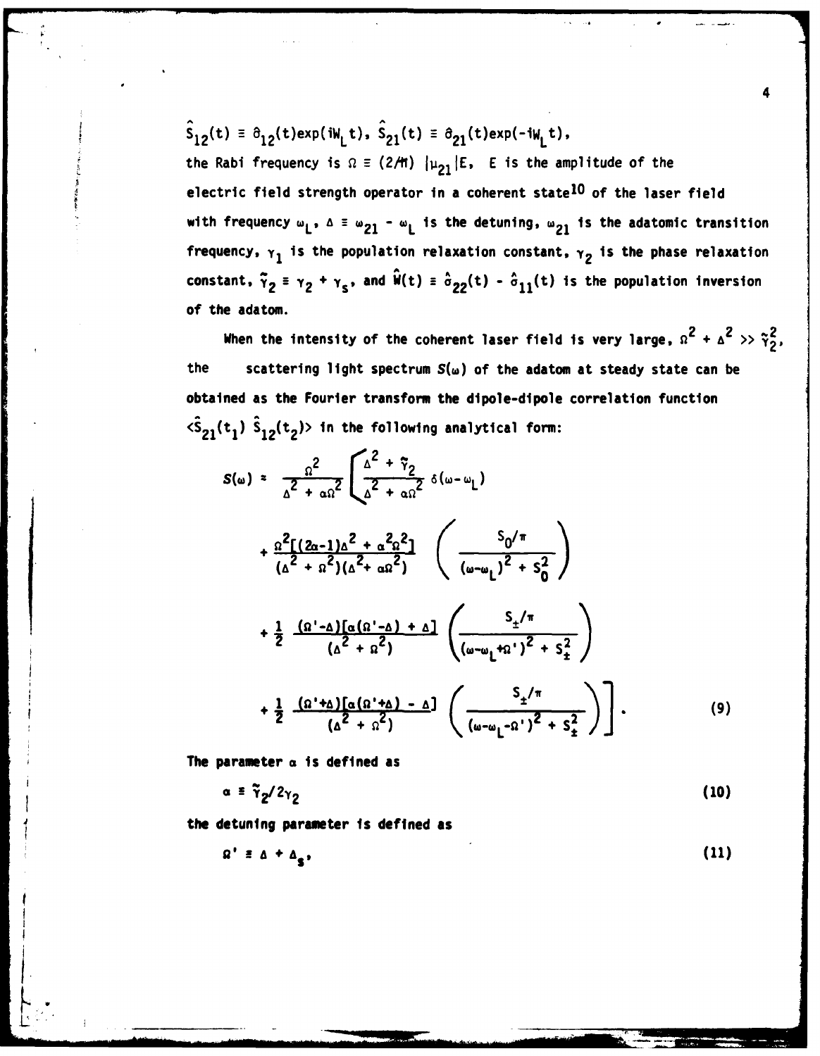$\hat{S}_{12}(t) = \partial_{12}(t)exp(iW_{1}t), \ \hat{S}_{21}(t) = \partial_{21}(t)exp(-iW_{1}t),$ the Rabi frequency is  $\Omega = (2/H)$   $|\mu_{21}|E$ , E is the amplitude of the electric field strength operator in a coherent state<sup>10</sup> of the laser field with frequency  $\omega_1$ ,  $\Delta \equiv \omega_{21} - \omega_1$  is the detuning,  $\omega_{21}$  is the adatomic transition frequency,  $\gamma_1$  is the population relaxation constant,  $\gamma_2$  is the phase relaxation constant,  $\tilde{\gamma}_2 = \gamma_2 + \gamma_s$ , and  $\hat{\mathbf{w}}(t) = \hat{\sigma}_{22}(t) - \hat{\sigma}_{11}(t)$  is the population inversion of the adatom.

4

When the intensity of the coherent laser field is very large,  $\Omega^2 + \Delta^2 >> \tilde{\gamma}_2^2$ , the scattering light spectrum  $S(\omega)$  of the adatom at steady state can be obtained as the Fourier transform the dipole-dipole correlation function  $\langle \hat{S}_{21}(t_1) \hat{S}_{12}(t_2) \rangle$  in the following analytical form:

$$
S(\omega) = \frac{\Omega^2}{\Delta^2 + \alpha \Omega^2} \left[ \frac{\Delta^2 + \tilde{\gamma}_2}{\Delta^2 + \alpha \Omega^2} \delta(\omega - \omega_L) \right]
$$
  
+ 
$$
\frac{\Omega^2 [(2\alpha - 1)\Delta^2 + \alpha^2 \Omega^2]}{(\Delta^2 + \alpha^2)(\Delta^2 + \alpha \Omega^2)} \left( \frac{S_0/\pi}{(\omega - \omega_L)^2 + S_0^2} \right)
$$
  
+ 
$$
\frac{1}{2} \frac{(\Omega' - \Delta) [\alpha (\Omega' - \Delta) + \Delta]}{(\Delta^2 + \Omega^2)} \left( \frac{S_{\pm}/\pi}{(\omega - \omega_L + \Omega')^2 + S_{\pm}^2} \right)
$$
  
+ 
$$
\frac{1}{2} \frac{(\Omega' + \Delta) [\alpha (\Omega' + \Delta) - \Delta]}{(\Delta^2 + \Omega^2)} \left( \frac{S_{\pm}/\pi}{(\omega - \omega_L - \Omega')^2 + S_{\pm}^2} \right).
$$
(9)

The parameter **a** is defined as

I.

$$
\alpha = \tilde{\gamma}_2 / 2 \gamma_2 \tag{10}
$$

the detuning parameter is defined as

 $\Omega' \equiv \Delta + \Delta_e$ , (11)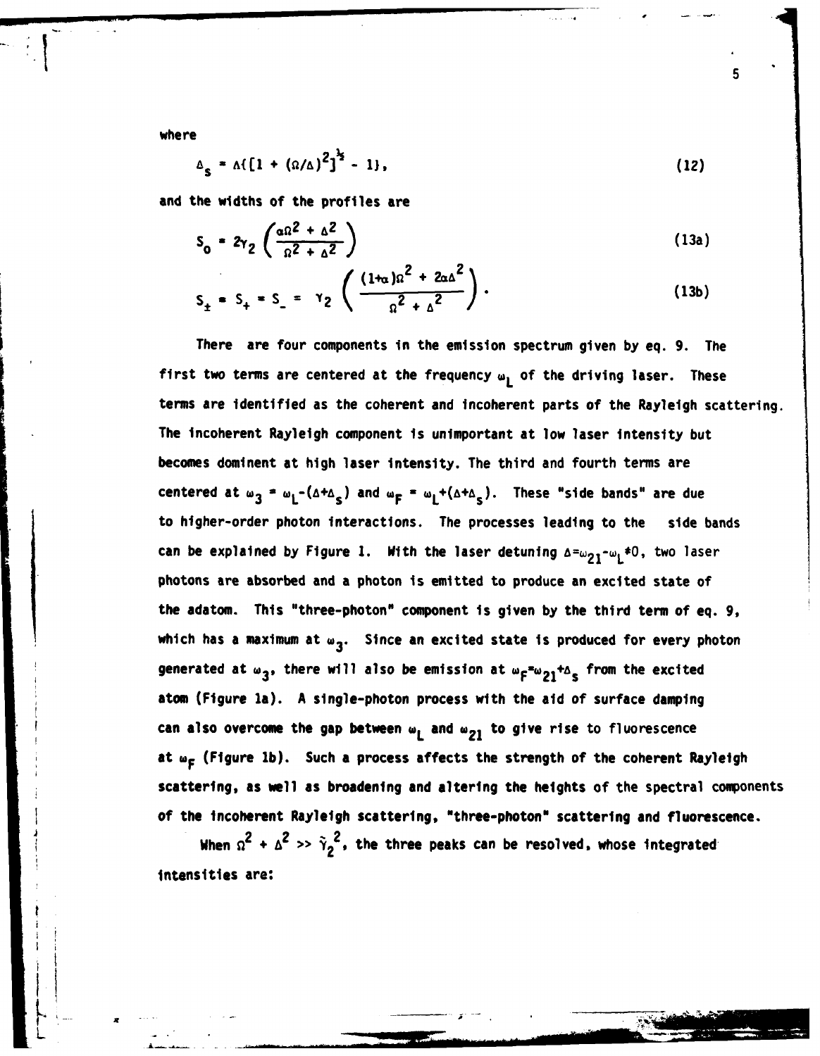where

$$
\Delta_{s} = \Lambda \{ [1 + (\Omega/\Delta)^{2}]^{\frac{1}{2}} - 1 \}, \qquad (12)
$$

and the widths of the profiles are

$$
S_0 = 2\gamma_2 \left( \frac{\alpha \Omega^2 + \Delta^2}{\Omega^2 + \Delta^2} \right) \tag{13a}
$$

$$
S_{\pm} = S_{+} = S_{-} = Y_{2} \left( \frac{(1 + \alpha)\alpha^{2} + 2\alpha\Delta^{2}}{\alpha^{2} + \Delta^{2}} \right).
$$
 (13b)

There are four components in the emission spectrum given **by** eq. **9.** The first two terms are centered at the frequency w<sub>1</sub> of the driving laser. These terms are identified as the coherent and incoherent parts of the Rayleigh scattering. The incoherent Rayleigh component is unimportant at low laser intensity but becomes dominent at high laser intensity. The third and fourth terms are **centered at ω<sub>2</sub> = ω<sub>1</sub>-(Δ+Δ<sub>2</sub>)** and ω<sub>F</sub> = ω<sub>1</sub>+(Δ+Δ<sub>2</sub>). These "side bands" are due to higher-order photon interactions. The processes leading to the side bands can be explained **by** Figure **1.** With the laser detuning **a=w21-wL\*O,** two laser photons are absorbed and a photon is emitted to produce an excited state of the adatom. This "three-photon" component is given **by** the third term of eq. **9,** which has a maximum at  $\omega_{3}$ . Since an excited state is produced for every photon generated at  $\omega_3$ , there will also be emission at  $\omega_F = \omega_{21} + \Delta_s$  from the excited atom (Figure la). **A** single-photon process with the aid of surface damping can also overcome the gap between  $\mathbf{w}_1$  and  $\mathbf{w}_{21}$  to give rise to fluorescence at w<sub>F</sub> (Figure 1b). Such a process affects the strength of the coherent Rayleigh scattering, as well as broadening and altering the heights of the spectral components of the incoherent Rayleigh scattering, "three-photon" scattering and fluorescence.

When  $\Omega^2$  +  $\Delta^2$  >>  $\tilde{\gamma}_2^2$ , the three peaks can be resolved, whose integrated Intensities are:

.... ... ... .\_ \_\_ ,\_......\_ **'i** \_ \_ \_ \_ \_ **\_\_\***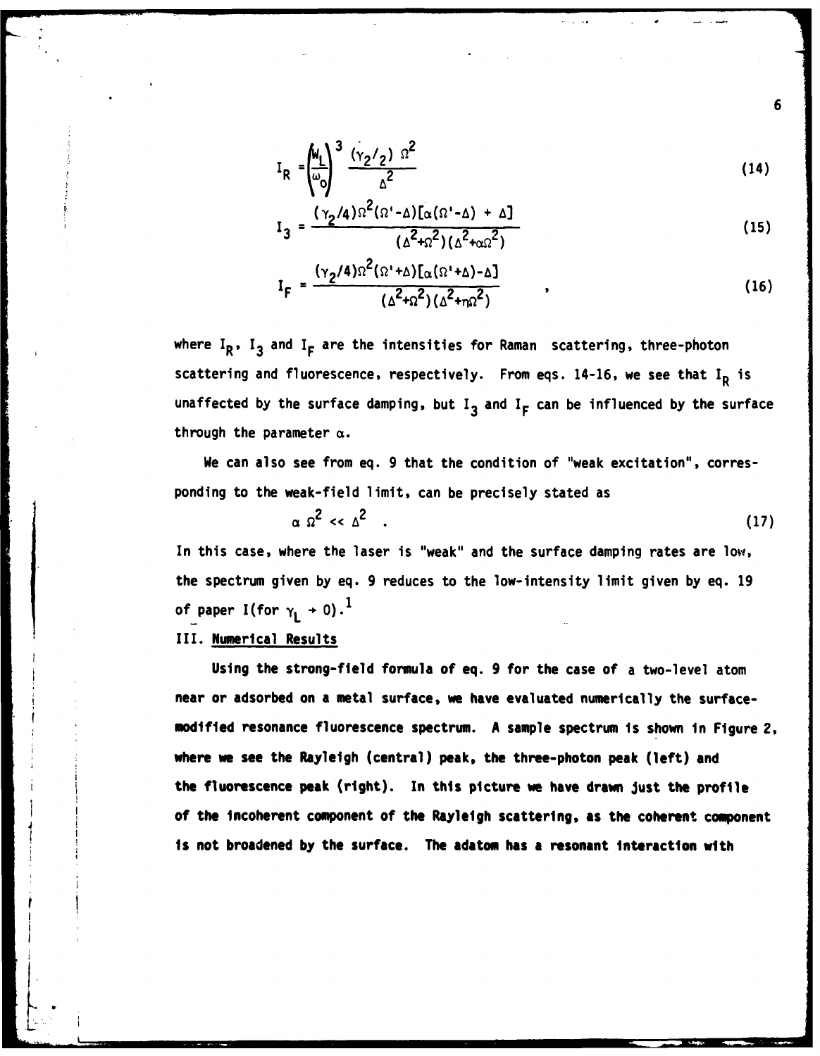$$
I_R = \left(\frac{M_L}{\omega_0}\right)^3 \frac{(\gamma_2/\gamma)^{1/2}}{\Delta^2}
$$
 (14)

$$
I_3 = \frac{(\gamma_2/4)\Omega^2(\Omega'-\Delta)[\alpha(\Omega'-\Delta)+\Delta]}{(\Delta^2+\Omega^2)(\Delta^2+\alpha\Omega^2)}
$$
(15)

$$
I_{F} = \frac{(\gamma_2/4)\Omega^2(\Omega^1+\Delta)\left[\alpha(\Omega^1+\Delta)-\Delta\right]}{(\Delta^2+\Omega^2)(\Delta^2+\eta\Omega^2)}
$$
 (16)

where  $I_R$ ,  $I_3$  and  $I_F$  are the intensities for Raman scattering, three-photon scattering and fluorescence, respectively. From eqs. 14-16, we see that I<sub>R</sub> is unaffected by the surface damping, but **13** and **IF** can be influenced **by** the surface through the parameter  $\alpha$ .

We can also see from eq. **9** that the condition of "weak excitation", corresponding to the weak-field limit, can be precisely stated as

$$
\alpha \Omega^2 \ll \Delta^2 \quad . \tag{17}
$$

In this case, where the laser is "weak" and the surface damping rates are low, the spectrum given by eq. **9** reduces to the low-intensity limit given by eq. **19** of paper I(for  $\gamma_{\scriptscriptstyle\rm I\hspace{-1pt}I}$   $\rightarrow$  0).<sup>1</sup>

#### III. Numerical Results

Using the strong-field formula of eq. **9** for the case of a two-level atom near or adsorbed on a metal surface, we have evaluated numerically the surfacemodified resonance fluorescence spectrum. **A** sample spectrum is shown in Figure 2, where we see the Rayleigh (central) peak, the three-photon peak (left) and the fluorescence peak (right). In this picture we have drawn Just the profile of the incoherent component of the Rayleigh scattering, **as** the coherent component **is** not broadened **by** the surface. **The adatom has** a **resonant interaction with**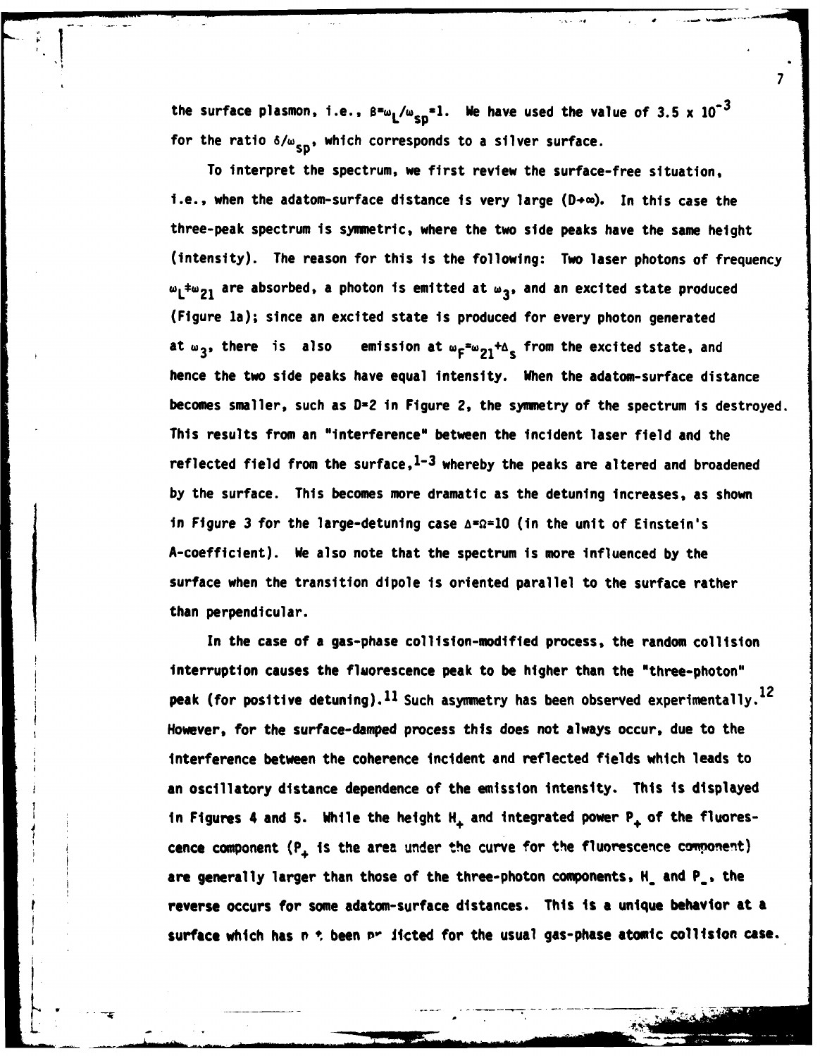the surface plasmon, i.e.,  $\beta^2 w_L/w_{SD}^2$ , We have used the value of 3.5 x 10<sup>-3</sup> for the ratio  $\delta/\omega_{sn}$ , which corresponds to a silver surface.

4 **S!**

**7**

To interpret the spectrum, we first review the surface-free situation, i.e., when the adatom-surface distance is very large (D+ $\infty$ ). In this case the three-peak spectrum is symmetric, where the two side peaks have the same height (intensity). The reason for this is the following: Two laser photons of frequency  $\omega_1$  are absorbed, a photon is emitted at  $\omega_3$ , and an excited state produced (Figure la); since an excited state is produced for every photon generated at w<sub>3</sub>, there is also emission at  $w_F = w_{21} + \Delta_g$  from the excited state, and hence the two side peaks have equal intensity. When the adatom-surface distance becomes smaller, such as **D-2** in Figure 2, the symmetry of the spectrum is destroyed. This results from an "interference" between the incident laser field and the reflected field from the surface,  $1-3$  whereby the peaks are altered and broadened **by** the surface. This becomes more dramatic as the detuning increases, as shown in Figure **3** for the large-detuning case **A-0=1O** (in the unit of Einstein's A-coefficient). We also note that the spectrum is more influenced **by** the surface when the transition dipole is oriented parallel to the surface rather than perpendicular.

In the case of a gas-phase collision-modified process, the random collision interruption causes the fluorescence peak to be higher than the "three-photon" peak (for positive detuning).  $^{11}$  Such asymmetry has been observed experimentally.  $^{12}$ However, for the surface-damped process this does not always occur, due to the interference between the coherence incident and reflected fields which leads to an oscillatory distance dependence of the emission intensity. This is displayed in Figures 4 and **5.** While the height H, and integrated power **P+** of the fluorescence component (P<sub>+</sub> is the area under the curve for the fluorescence component) are generally larger than those of the three-photon components, H\_ and **P\_,** the reverse occurs for some adatom-surface distances. This is a unique behavior at a **surface** which has **P \*.** been **P-** Jcted for the usual gas-phase atomic collision case.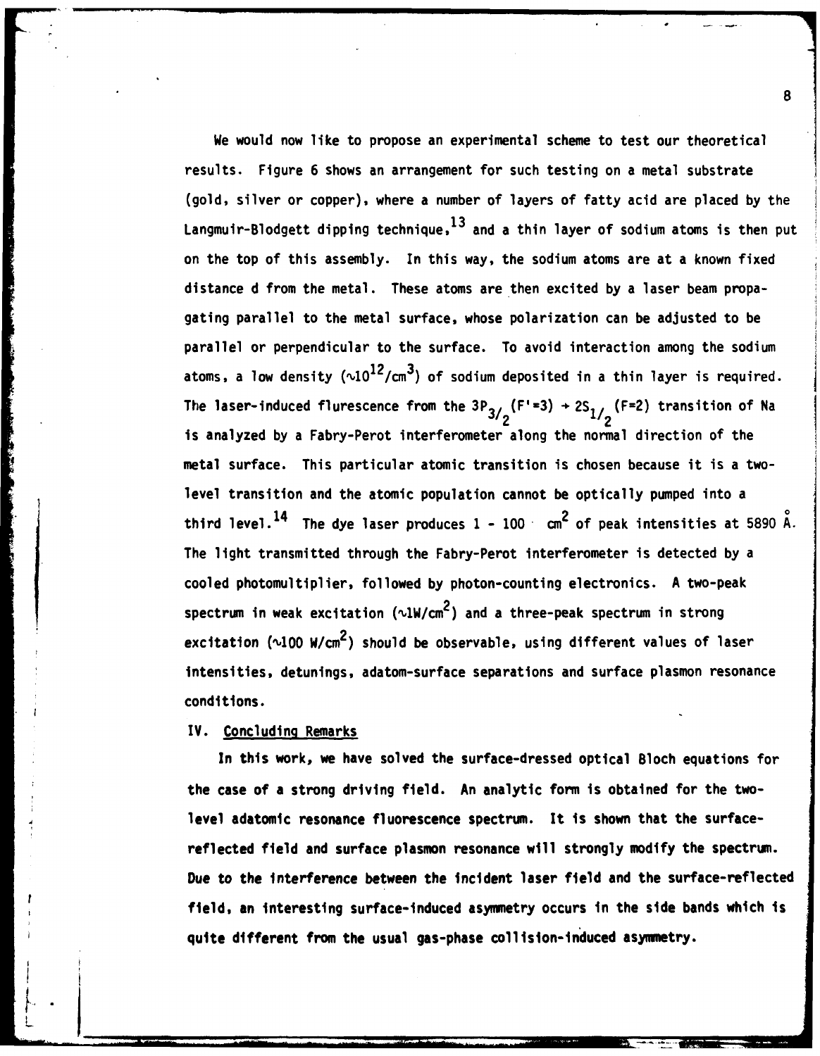We would now like to propose an experimental scheme to test our theoretical results. Figure **6** shows an arrangement for such testing on a metal substrate (gold, silver or copper), where a number of layers of fatty acid are placed by the Langmuir-Blodgett dipping technique,<sup>13</sup> and a thin layer of sodium atoms is then put on the top of this assembly. In this way, the sodium atoms are at a known fixed distance d from the metal. These atoms are then excited by a laser beam propagating parallel to the metal surface, whose polarization can be adjusted to be parallel or perpendicular to the surface. To avoid interaction among the sodium atoms, a low density  $(\sim 10^{12}/\text{cm}^3)$  of sodium deposited in a thin layer is required. The laser-induced flurescence from the  $3P_{3/2}$  (F<sup>+</sup>=3)  $+ 2S_{1/2}$  (F=2) transition of Na is analyzed by a Fabry-Perot interferometer along the normal direction of the metal surface. This particular atomic transition is chosen because it is a twolevel transition and the atomic population cannot be optically pumped into a third level. 14 The dye laser produces **1** - 100 cm2 of peak intensities at 5890 A. The light transmitted through the Fabry-Perot interferometer is detected by a cooled photomultiplier, followed by photon-counting electronics. A two-peak spectrum in weak excitation ( $v1W/cm<sup>2</sup>$ ) and a three-peak spectrum in strong excitation ( $\sqrt{100 W/cm^2}$ ) should be observable, using different values of laser intensities, detunings, adatom-surface separations and surface plasmon resonance conditions.

## IV. Concluding Remarks

In this work, we have solved the surface-dressed optical Bloch equations for the case of a strong driving field. An analytic form is obtained for the twolevel adatomic resonance fluorescence spectrum. It is shown that the surfacereflected field and surface plasmon resonance will strongly modify the spectrum. Due to the interference between the incident laser field and the surface-reflected field, an interesting surface-induced asymmetry occurs in the side bands which is quite different from the usual gas-phase collision-induced asymmetry.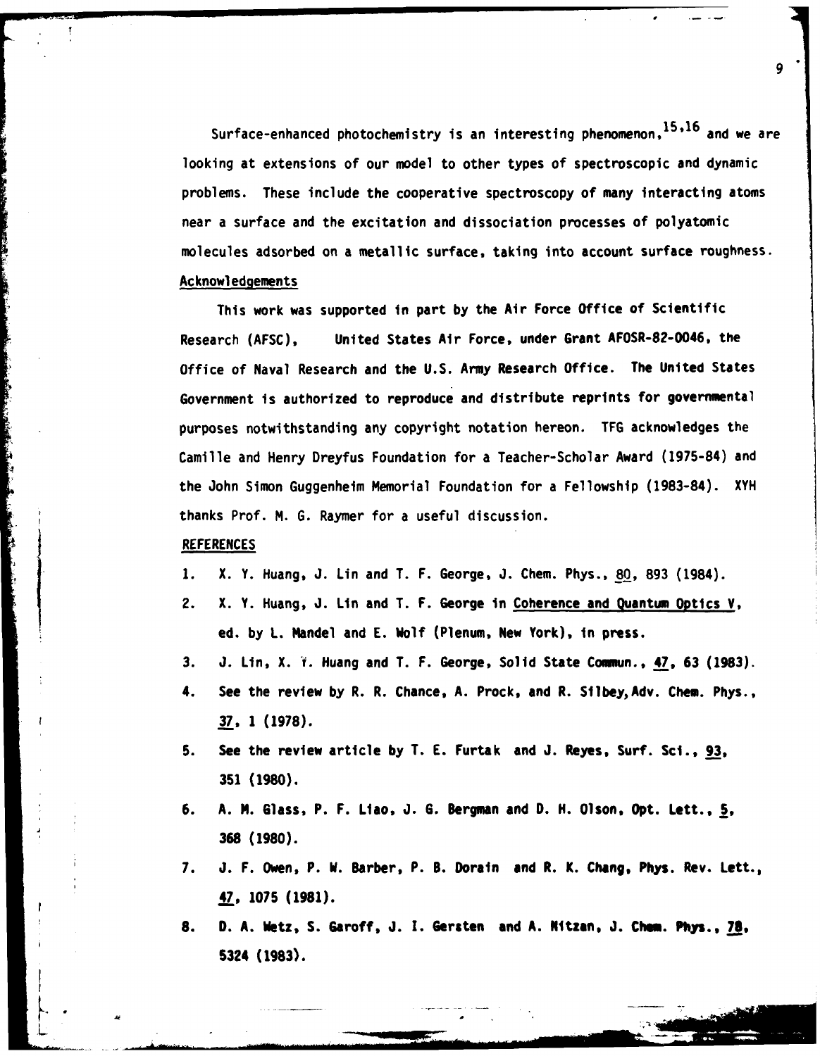Surface-enhanced photochemistry is an interesting phenomenon, 15,16 and we are looking at extensions of our model to other types of spectroscopic and dynamic problems. These include the cooperative spectroscopy of many interacting atoms near a surface and the excitation and dissociation processes of polyatomic molecules adsorbed on a metallic surface, taking into account surface roughness. Acknowledgements

**9**

This work was supported in part by the Air Force Office of Scientific Research (AFSC), United States Air Force, under Grant AFOSR-82-0046, the Office of Naval Research and the U.S. Army Research Office. The United States Government is authorized to reproduce and distribute reprints for governmental purposes notwithstanding any copyright notation hereon. TFG acknowledges the Camille and Henry Dreyfus Foundation for a Teacher-Scholar Award (1975-84) and the John Simon Guggenheim Memorial Foundation for a Fellowship (1983-84). XYH thanks Prof. M. G. Raymer for a useful discussion.

#### **REFERENCES**

L.

- **1.** X. Y. Huang, **J.** Lin and T. F. George, **J.** Chem. Phys., **80, 893** (1984).
- 2. X. Y. Huang, **J. Lin** and T. F. George in Coherence and Quantum Optics **V,** ed. by **L.** Mandel and **E.** Wolf (Plenum, New York), in press.
- **3. J. Ln,** X. **1.** Huang and T. F. George, Solid State Commun., 47, **63 (1983).**
- 4. See the review **by** R. R. Chance, **A.** Prock, and R. SilbeyAdv. Chem. Phys., **37, 1 (1978).**
- **5. See** the review article **by** T. **E.** Furtak and **J.** Reyes, Surf. Sci., **93, 351 (1980).**
- **6. A. N.** Glass, P. F. Liao, **J. G.** Bergman and **D. H.** Olson, Opt. Lett., **5, 368 (1980).**
- **7. J.** F. Owen, P. W. Barber, P. **B.** Dorain and R. K. Chang, Phys. Rev. Lett., **47, 1075 (1981).**
- **8. D. A.** Wetz, **S.** Garoff, **J. I.** Gersten and **A.** Nltzan, **J. Chem. Phys., 78,** 5324 **(1983).**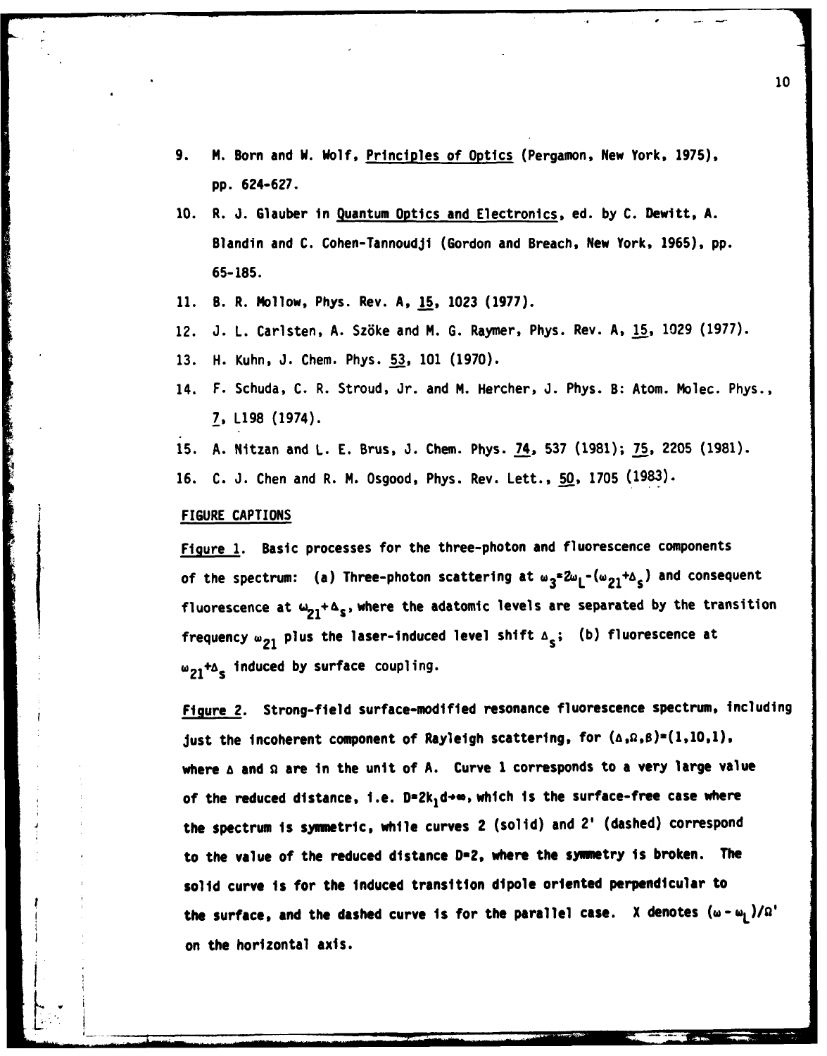- **9.** M. Born and W. Wolf, Principles of Optics (Pergamon, New York, **1975), pp. 624-627.**
- **10.** R. **J.** Glauber in Quantum Optics and Electronics, ed. **by C.** Dewitt, **A.** Blandin and **C.** Cohen-Tannoudji (Gordon and Breach, New York, **1965), pp. 65-185.**
- **11.** B. R. Mollow, Phys. Rev. **A, 15, 1023 (1977).**
- 12. **J.** L. Carlsten, **A.** Sz6ke and M. **G.** Raymer, Phys. Rev. **A, 15, 1029 (1977).**
- **13.** H. Kuhn, **J.** Chem. Phys. **53, 101 (1970).**
- 14. F. Schuda, **C.** R. Stroud, Jr. and M. Hercher, **J.** Phys. B: Atom. Molec. Phys., **7, L198** (1974).
- **15. A.** Nitzan and **L. E.** Brus, **3.** Chem. Phys. 74. **537 (1981); 75, 2205 (1981).**
- **16. C. J.** Chen and R. M. Osgood, Phys. Rev. Lett., **50, 1705 (1983).**

### FIGURE CAPTIONS

Figure **1.** Basic processes for the three-photon and fluorescence components of the spectrum: (a) Three-photon scattering at  $\omega_3^2 \omega_1$ - $(\omega_{21} + \Delta_s)$  and consequent fluorescence at  $\omega_{21} + \Delta_s$ , where the adatomic levels are separated by the transition frequency  $\omega_{21}$  plus the laser-induced level shift  $\Delta_{s}$ ; (b) fluorescence at w<sub>21</sub>+A<sub>s</sub> induced by surface coupling.

Figure 2. Strong-field surface-modified resonance fluorescence spectrum, Including just the incoherent component of Rayleigh scattering, for  $(a, a, b) = (1, 10, 1)$ , where  $\triangle$  and  $\Omega$  are in the unit of A. Curve 1 corresponds to a very large value of the reduced distance, i.e.  $D=2k_1d+m$ , which is the surface-free case where the spectrum is symmetric, while curves 2 (solid) and 2' (dashed) correspond to the value of the reduced distance **D-2,** where the symetry is broken. The solid curve is for the induced transition dipole oriented perpendicular to the surface, and the dashed curve is for the parallel case. X denotes  $(\omega - \omega_1)/\Omega'$ on the horizontal axis.

L w **. . . d . . +, =.. ., .. . .".....7 ...** *,T* **" " "**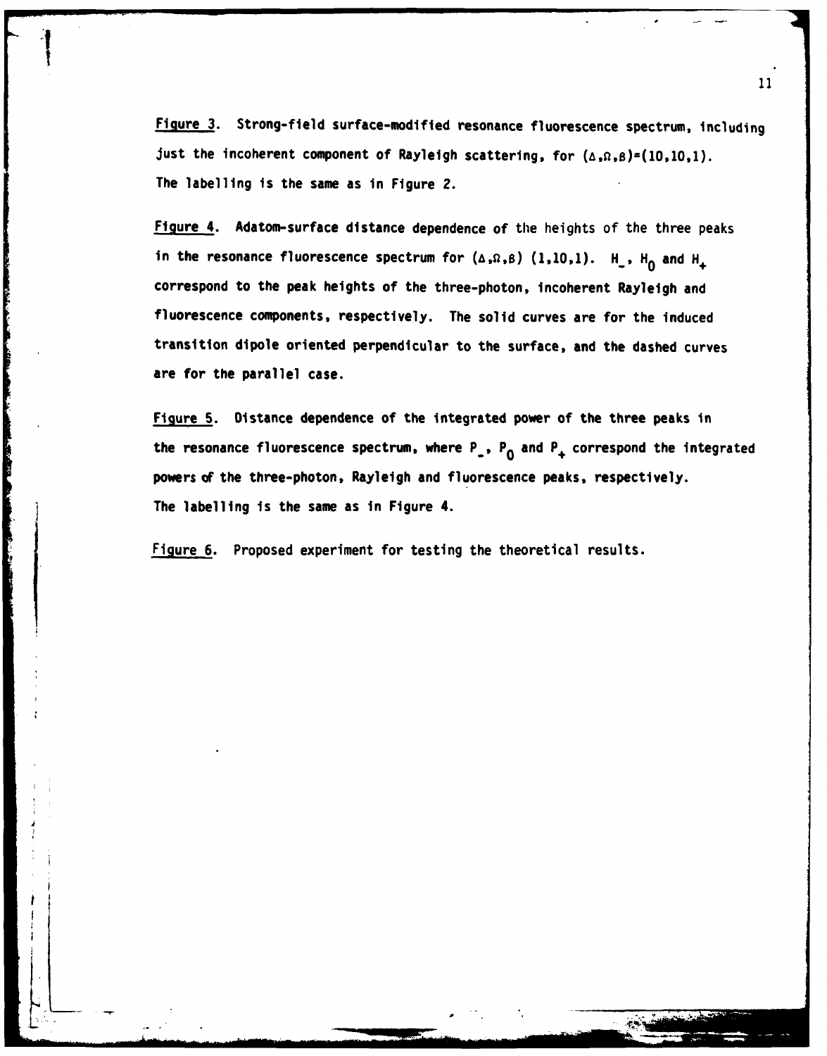Figure **3.** Strong-field surface-modified resonance fluorescence spectrum, including just the incoherent component of Rayleigh scattering, for  $(A, B, B)=(10,10,1)$ . The labelling is the same as in Figure 2.

Figure 4. Adatom-surface distance dependence of the heights of the three peaks in the resonance fluorescence spectrum for  $(\triangle, \Omega, \beta)$  (1,10,1).  $H_-, H_0$  and  $H_+$ correspond to the peak heights of the three-photon, incoherent Rayleigh and fluorescence components, respectively. The solid curves are for the induced transition dipole oriented perpendicular to the surface, and the dashed curves are for the parallel case.

Figure **5.** Distance dependence of the integrated power of the three peaks in the resonance fluorescence spectrum, where P, **P0** and **P+** correspond the integrated powers of the three-photon, Rayleigh and fluorescence peaks, respectively. The labelling is the same as in Figure 4.

Figure **6.** Proposed experiment for testing the theoretical results.

**The Company of Company** 

bK . - .. . **I.** . <sup>|</sup>**S** -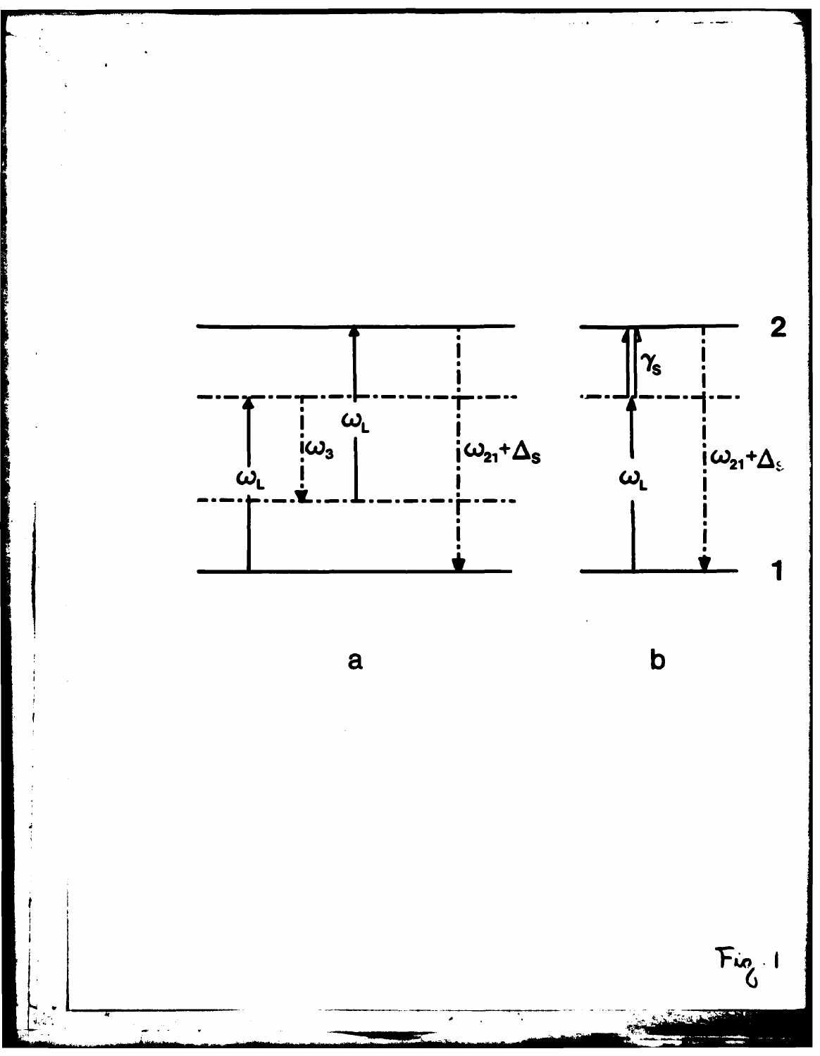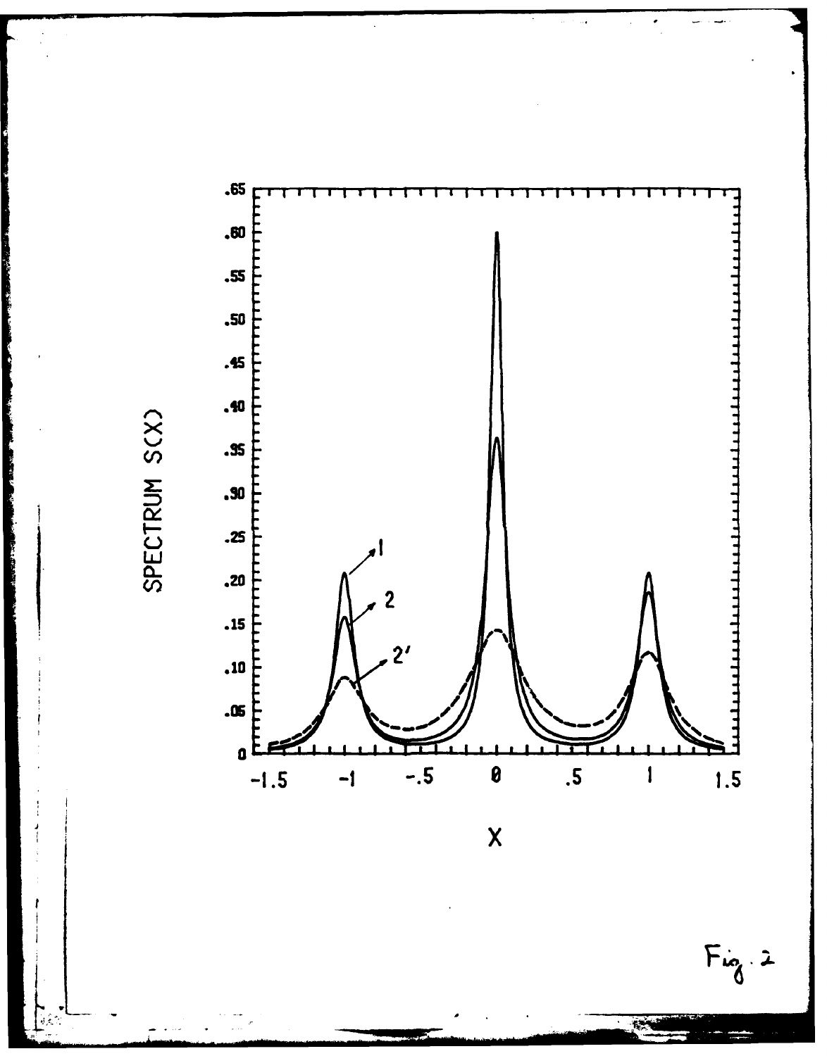.65 .60 .55 .50 .45 .40 .35 .90  $.25$  $\overline{\mathbf{3}}$  $.15$  $2<sup>1</sup>$  $\ddot{\mathbf{10}}$ .05  $\mathfrak{a}$  t  $-.5$  $1.5$  $-1.5$  $\boldsymbol{\theta}$  $\overline{\mathbf{5}}$  $-1$  $\mathbf{I}$ 

 $\overline{\mathsf{X}}$ 

 $Fix_8.2$ 

 $-12$ 

SPECTRUM S(X)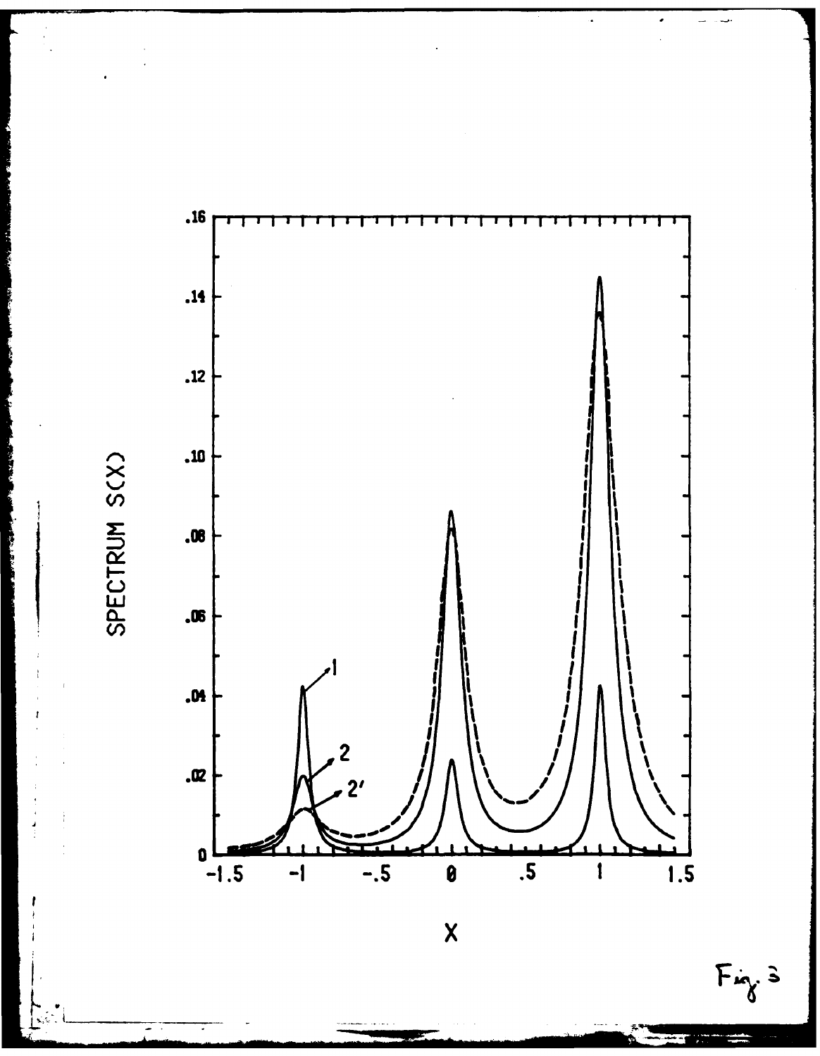

 $\overline{\mathsf{x}}$ 

SPECTRUM S(X)

 $Fix_{\delta}$  =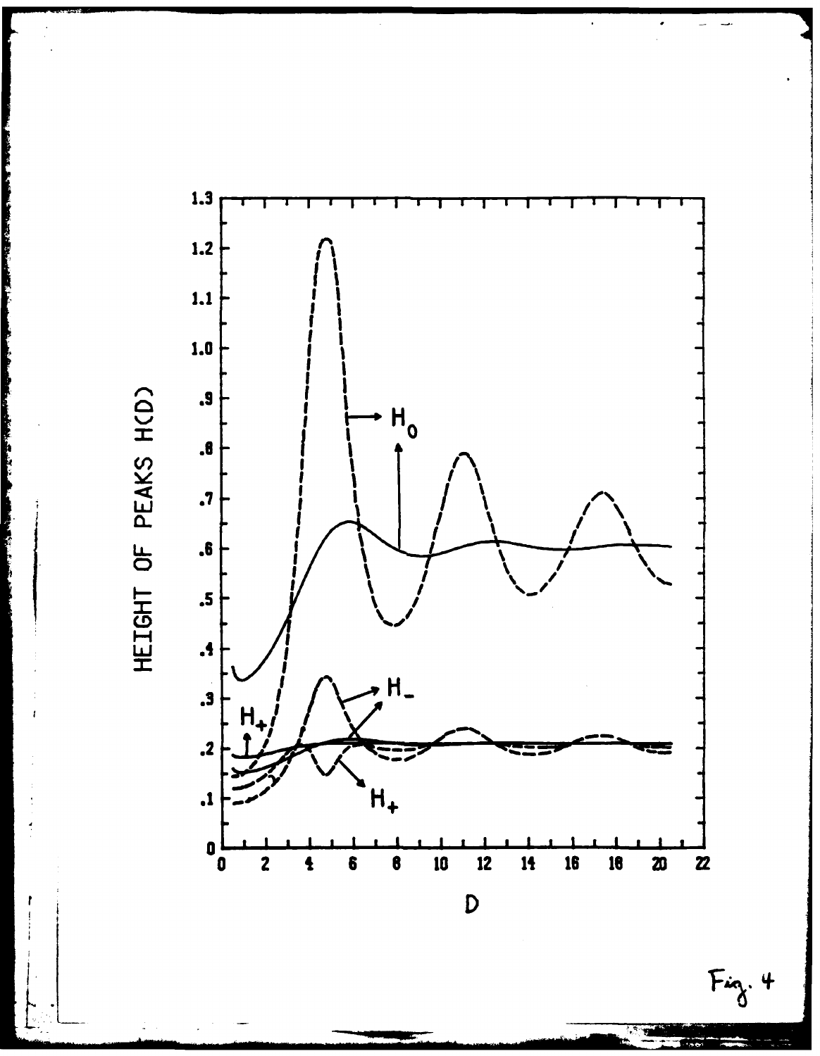

HEIGHT OF PEAKS H(D)

Control and the company of the control of the control of

**The Second Second Second** 

 $Fix\overline{\delta}$ . 4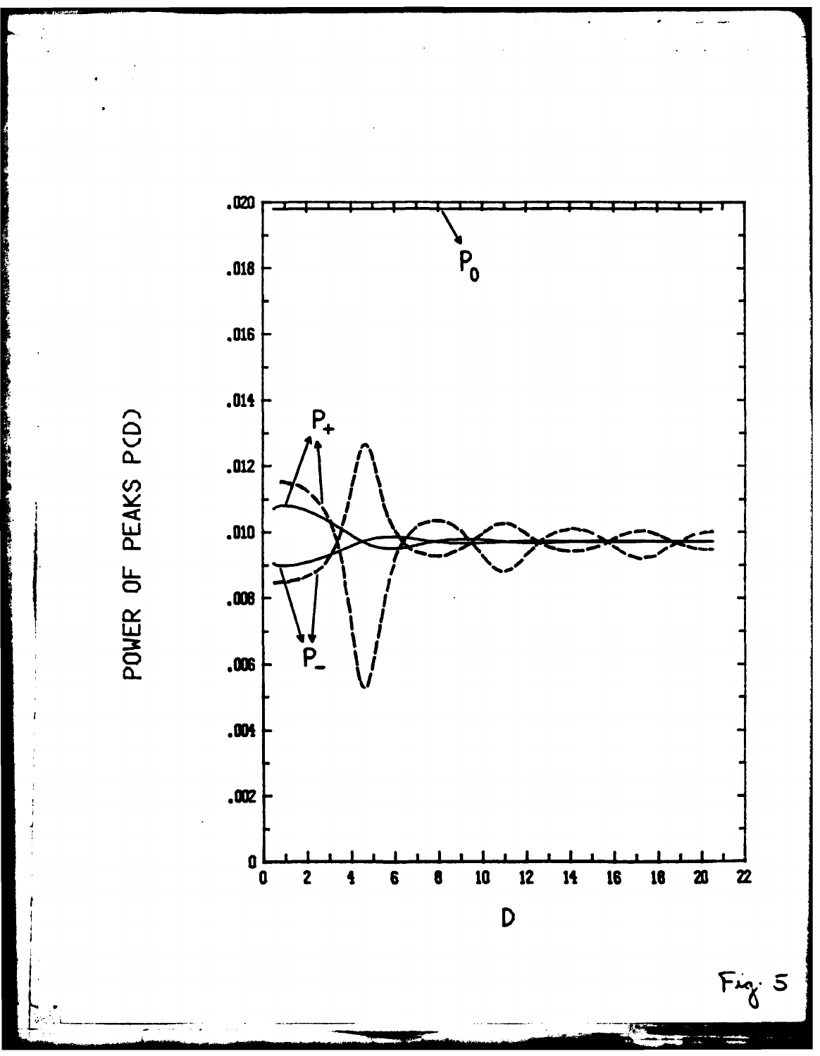POWER OF PEAKS PCD)



 $Fix_{\tilde{\Lambda}}$ : 5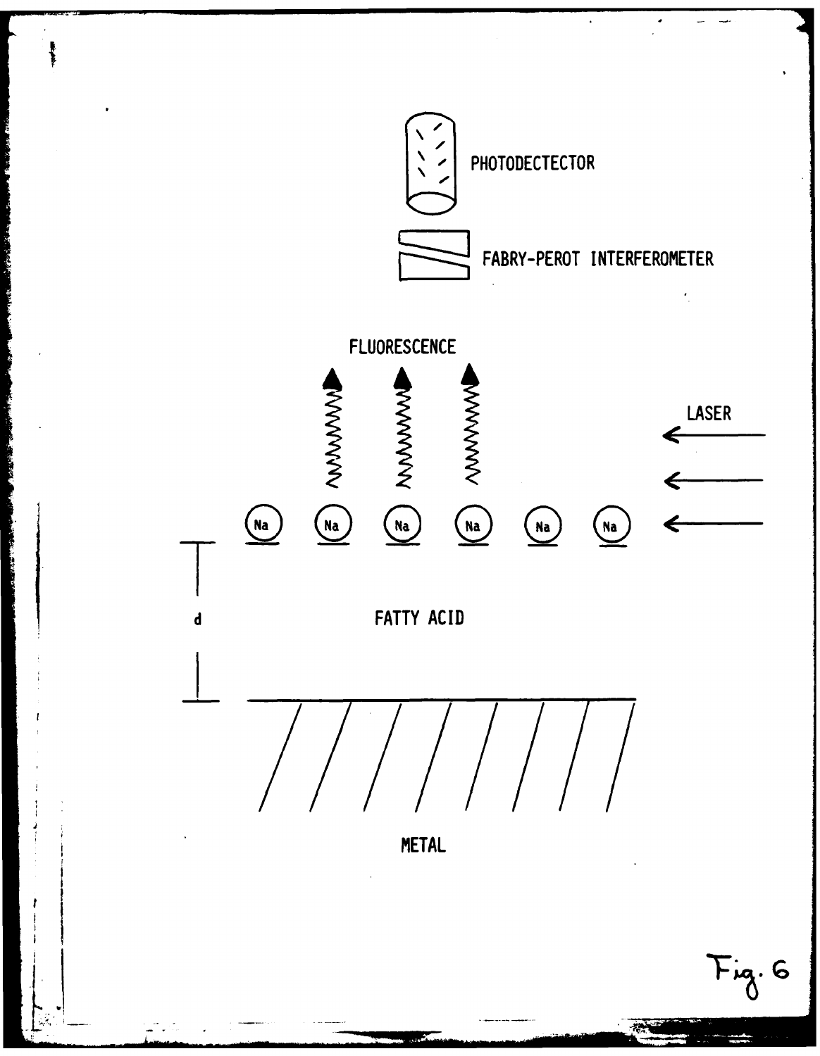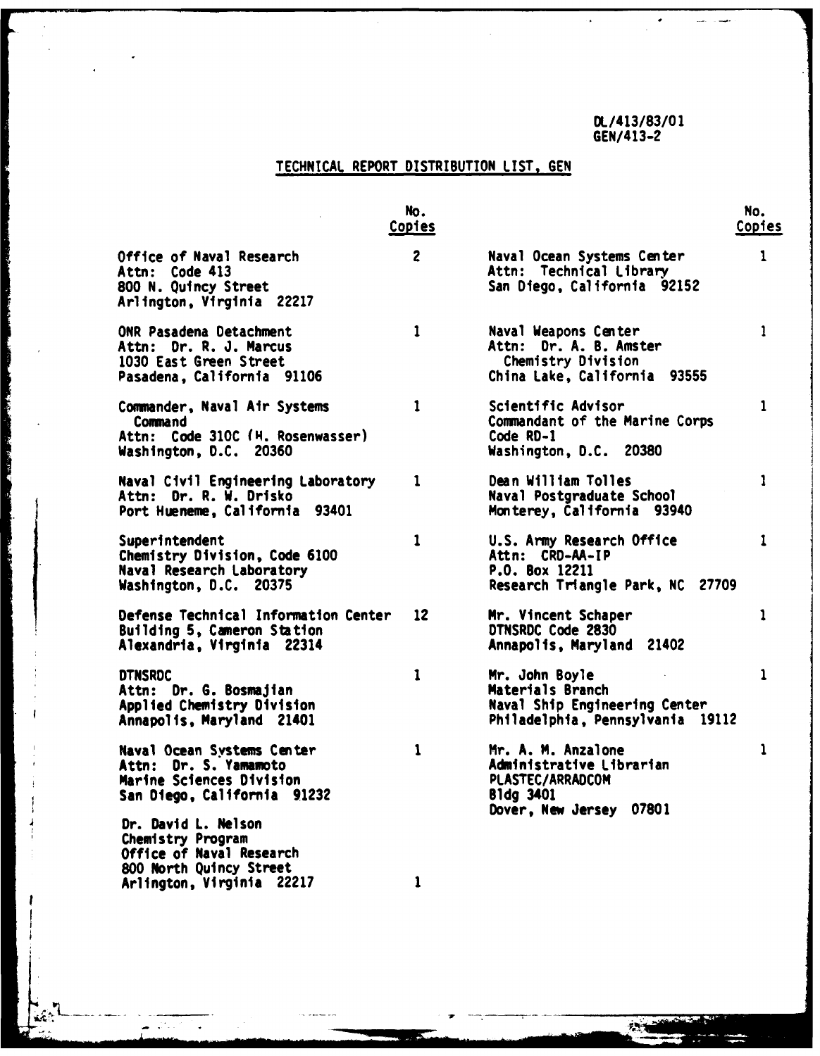$\mathcal{F}$ 

# **TECHNICAL** REPORT **DISTRIBUTION LIST, GEN**

|                                                                                                                                       | No.<br><b>Copies</b> |                                                                                                                   | No.<br>Copies |
|---------------------------------------------------------------------------------------------------------------------------------------|----------------------|-------------------------------------------------------------------------------------------------------------------|---------------|
| Office of Naval Research<br>Attn: Code 413<br>800 N. Quincy Street<br>Arlington, Virginia 22217                                       | $\overline{c}$       | Naval Ocean Systems Center<br>Attn: Technical Library<br>San Diego, California 92152                              | 1             |
| ONR Pasadena Detachment<br>Attn: Dr. R. J. Marcus<br>1030 East Green Street<br>Pasadena, California 91106                             | $\mathbf{1}$         | Naval Weapons Center<br>Attn: Dr. A. B. Amster<br>Chemistry Division<br>China Lake, California 93555              | 1             |
| Commander, Naval Air Systems<br>Command<br>Attn: Code 310C (H. Rosenwasser)<br>Washington, D.C. 20360                                 | 1                    | Scientific Advisor<br>Commandant of the Marine Corps<br>Code RD-1<br>Washington, D.C. 20380                       | $\mathbf{1}$  |
| Naval Civil Engineering Laboratory<br>Attn: Dr. R. W. Drisko<br>Port Hueneme, California 93401                                        | 1                    | Dean William Tolles<br>Naval Postgraduate School<br>Monterey, California 93940                                    | 1             |
| Superintendent<br>Chemistry Division, Code 6100<br>Naval Research Laboratory<br>Washington, D.C. 20375                                | $\mathbf{1}$         | U.S. Army Research Office<br>Attn: CRD-AA-IP<br>P.O. Box 12211<br>Research Triangle Park, NC 27709                | 1             |
| Defense Technical Information Center<br>Building 5, Cameron Station<br>Alexandria, Virginia 22314                                     | 12                   | Mr. Vincent Schaper<br>DTNSRDC Code 2830<br>Annapolis, Maryland 21402                                             | 1             |
| <b>DTNSRDC</b><br>Attn: Dr. G. Bosmajian<br>Applied Chemistry Division<br>Annapolis, Maryland 21401                                   | 1                    | Mr. John Boyle<br>Materials Branch<br>Naval Ship Engineering Center<br>Philadelphia, Pennsylvania 19112           | $\mathbf{1}$  |
| Naval Ocean Systems Center<br>Attn: Dr. S. Yamamoto<br>Marine Sciences Division<br>San Diego, California 91232<br>Dr. David L. Nelson | 1                    | Mr. A. M. Anzalone<br>Administrative Librarian<br>PLASTEC/ARRADCOM<br><b>B1dg 3401</b><br>Dover, New Jersey 07801 | ı             |
| Chemistry Program<br>Office of Naval Research<br>800 North Quincy Street<br>Arlington, Virginia 22217                                 | $\mathbf{1}$         |                                                                                                                   |               |

**The Property Property**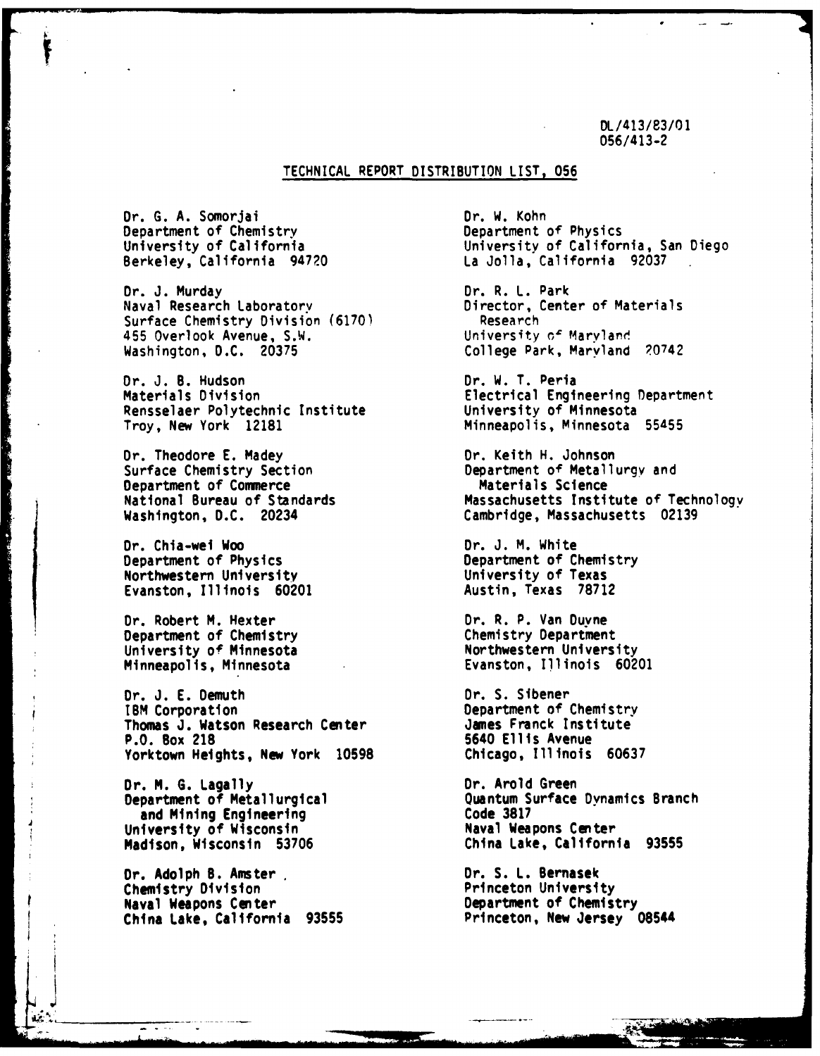DL/413/83/01 056/413-2

# TECHNICAL REPORT DISTRIBUTION LIST, **056**

Dr. G. A. Somorjai Dr. W. Kohn Department of Chemistry<br>
University of California<br>
University of California Berkeley, California 94720

Dr. J. Murday (1999) Dr. R. L. Park<br>Naval Research Laboratory (1999) Director, Cente Surface Chemistry Division (6170) **Research Research Exercise Chemistry Division** (6170) Research Research Chemistry of Maryland 455 Overlook Avenue, S.W.<br>Washington, D.C. 20375

Dr. J. B. Hudson Dr. W. T. Peria Rensselaer Polytechnic Institute<br>Troy, New York 12181

Dr. Theodore E. Madey **Dr. Keith H. Johnson**<br>
Surface Chemistry Section **Department of Metall** Department of Commerce<br>National Bureau of Standards

Dr. Chia-wei Woo<br>Department of Physics and Department of Chemistry Department of Physics<br>
Northwestern University<br>
Northwestern University<br>
University of Texas Northwestern University University of Texas Evanston, Illinois 60201

Dr. Robert M. Hexter **Dr. R. P. Van Duyne**<br>
Department of Chemistry **Department** Department of Chemistry<br>
University of Minnesota<br>
University of Minnesota<br>
Chemistry Department University of Minnesota<br>Minneapolis, Minnesota

Dr. J. E. Demuth Dr. S. Sibener<br>
18M Corporation **Department** of Thomas J. Watson Research Center<br>P.O. Box 218 Yorktown Heights, New York **10598** Chicago, Illinois **60637**

Dr. M. G. Lagally **Dr. Arold Green**<br>Department of Metallurgical **Department of Metallurgical** and Mining Engineering Code **3817** University of Wisconsin<br>
Madison, Wisconsin 53706 Maval Weapons Center<br>
China Lake, California 93555 Madison, Wisconsin 53706

Dr. Adolph B. Amster <u>Dr. S. L. Bernasek Dr. S. L. Bernasek Dr. S. L. Bernasek Dr. S. L. Bernasek Dr. S. L. Bernasek Dr. S. L. Bernasek Dr. S. L. Bernasek Dr. S. L. Bernasek Dr. S. L. Bernasek Dr. S. L. Bernasek Dr. S. L. </u> Chemistry Division Naval Weapons Center<br>
China Lake, California 93555 **Department of Chemistry**<br>
Princeton, New Jersey 08544 China Lake, California 93555

University of California, San Diego<br>La Jolla, California, 92037

Director, Center of Materials<br>Research College Park, Maryland 20742

Electrical Engineering Department<br>University of Minnesota Minneapolis, Minnesota 55455

Department of Metallurgy and<br>Materials Science National Bureau of Standards<br>
Washington, D.C. 20234 (ambridge, Massachusetts 02139 Cambridge, Massachusetts 02139

Evanston, Illinois 60201

Department of Chemistry<br>James Franck Institute 5640 Ellis Avenue

Quantum Surface Dynamics Branch<br>Code 3817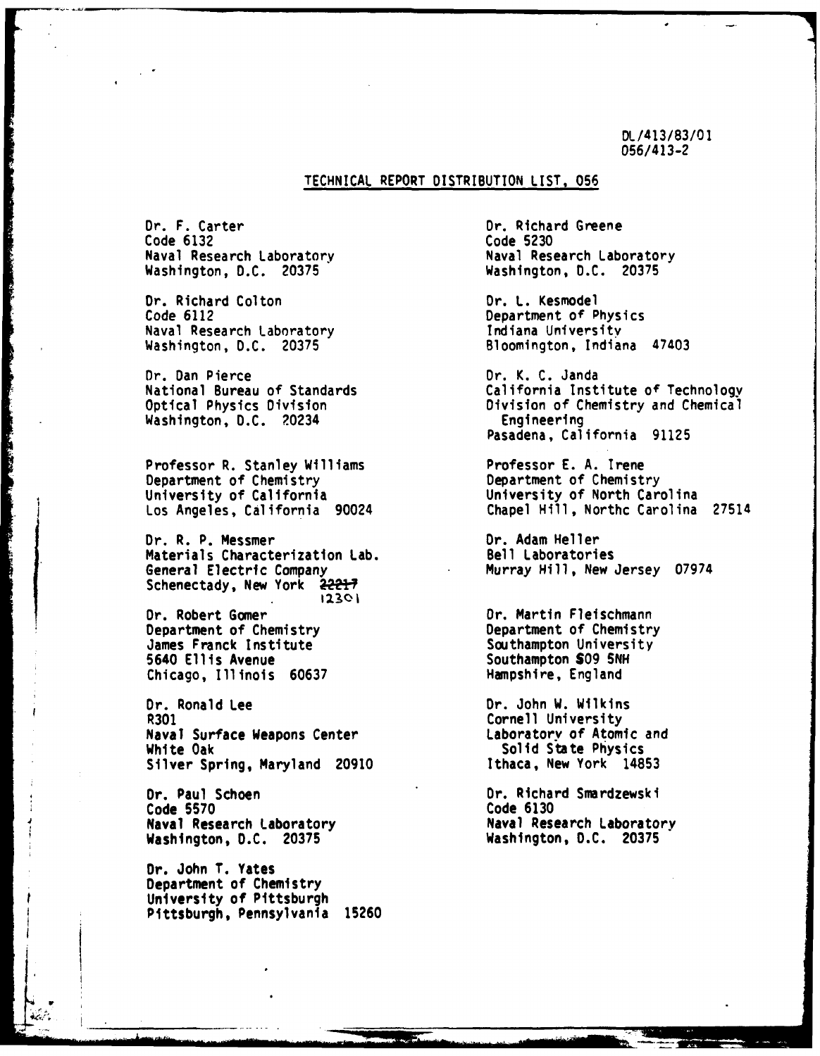DL/413/83/01 056/413-2

## **TECHNICAL** REPORT **DISTRIBUTION LIST, 056**

Dr. F. Carter Dr. Richard Greene Code **6132** Code **5230** Washington, **D.C. 20375** Washington, **D.C. 20375**

Dr. Richard Colton **Dr. L. Kesmodel**<br>Code 6112 **Department of P** Naval Research Laboratory

Dr. Dan Pierce Dr. K. **C.** Janda Washington, D.C. 20234

The contract of the state of the contract of the

Professor R. Stanley Williams **Professor E. A. Irene**<br>Department of Chemistry **Department of Chemist** Los Angeles, California 90024

Dr. R. P. Messmer<br>
Materials Characterization Lab. Bell Laboratories Materials Characterization Lab. General Electric Company **Murray Hill, New Jersey 07974** Schenectady, New York 22217

Dr. Robert Gomer **Or.** Martin Fleischmann Department of Chemistry James Franck Institute Southampton University<br>5640 Ellis Avenue Southampton SO9 SNH Chicago, Illinois 60637

Dr. Ronald Lee Dr. John W. Wilkins Naval Surface Weapons Center White Oak Solid State Physics Silver Spring, Maryland **20910** Ithaca, New York **14853**

Dr. Paul Schoen Dr. Richard Smardzewski<br>Code 5570 Code 6130 Naval Research Laboratory (Naval Research Laboratory Naval Research Laboratory (Nashington, D.C. 20375) Washington, **D.C. 20375** Washington, **D.C. 20375**

**Or.** John T. Yates Department of Chemistry University of Pittsburgh Pittsburgh, Pennsylvania 15260

1' *:-* . . ...., *,•* m m

Naval Research Laboratory

Department of Physics<br>Indiana University Washington, **D.C. 20375** Bloomington, Indiana 47403

California Institute of Technology Optical Physics Division Division Division of Chemistry and Chemical<br>Washington, D.C. 20234 2003 Engineering Pasadena, California 91125

Department of Chemistry University of California<br>
Los Angeles, California 90024 (Dependicularii), Northc Carolina 27514

5640 Ellis Avenue Southampton **S09 SNH**

Cornell University<br>Laboratory of Atomic and

Code **5570** Code **6130**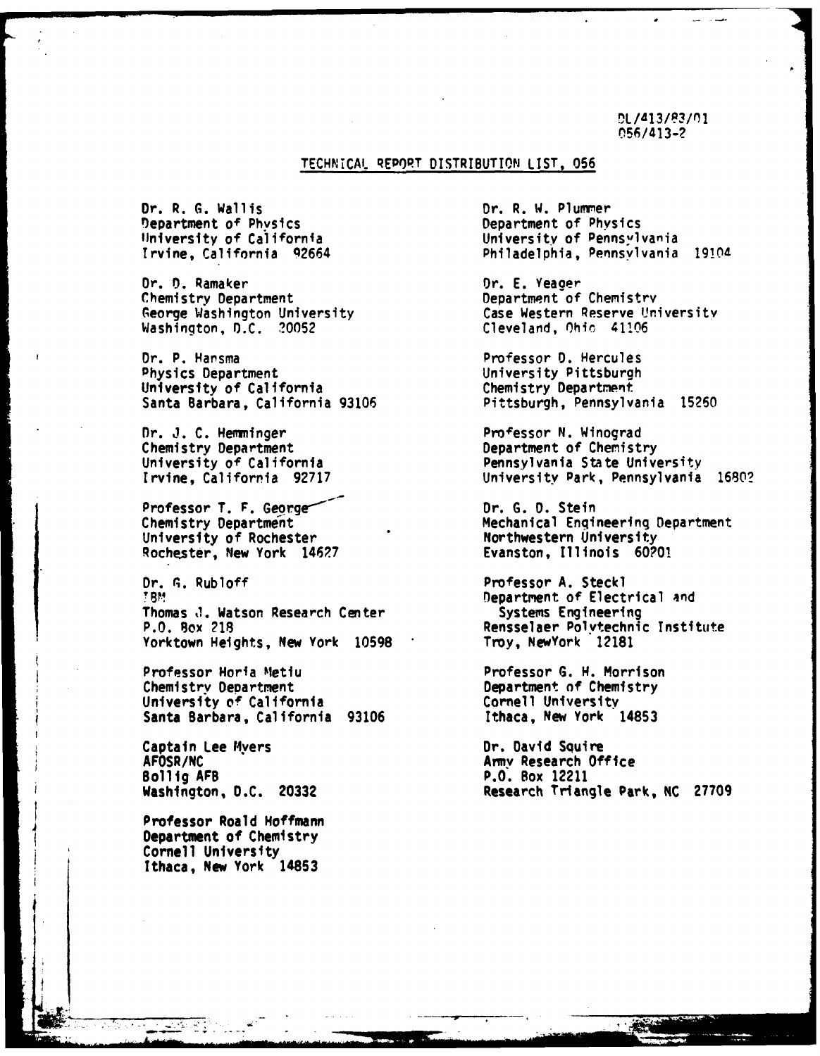DL/413/83/01 **056/413-?**

## TECHNICAL REPORT DISTRIBUTION **LIST, 056**

**Dr. R. G. Wallis**<br> **Dr. R. W. Plummer**<br> **Department of Physics**<br> **Department of Physics** Department of Physics<br>University of California

Dr. n. Ramaker Dr. E. Yeager George Washington University Washington, **D.C.** 20052 Cleveland, Ohio 41106

Dr. P. Hansma Professor **0.** Hercules Physics Department<br>
University of California<br>
University Department University of California

Dr. J. C. Hemminger Professor **N.** Winograd Chemistry Department<br>
University of California Chemistry Department of Chemistry<br>
Pennsylvania State Unive

Professor T. F. George<sup>----</sup> Dr. G. D. Stein University of Rochester **Northwestern University** Rochester, New York 146?7 Evanston, Illinois **60?0!**

Dr. **A.** Rubloff Professor A. Steckl **?8MD** Department of Electrical and Thomas J. Watson Research Center Systems Engineering<br>P.O. Box 218 Senselaer Polytechni Yorktown Heights, New York 10598

Professor Horia Metlu Professor **G. H.** Morrison University of California<br>
Santa Barbara, California 93106 **Cornell University**<br>
Ithaca, New York 14853 Santa Barbara, California 93106

Captain Lee Myers Captain Lee Myers Captain Dr. David Squire<br>AFOSR/NC Captain Dr. David Squire AFOSR/NC<br>
Bollig AFB<br>
Bollig AFB<br>
Amy Research Office Bollig **AFB** P.O. Box 12211

Professor Roald Hoffmann Department of Chemistry Cornell University Ithaca, New York 14853

University of Pennswlvania Irvine, California 92664 Philadelphia, Pennsylvania 1910d

Department of Chemistry<br>Case Western Reserve University

Santa Barbara, California 93106 Pittsburgh, Pennsylvania 15260

Pennsylvania State University Irvine, California 92717 University Park, Pennsylvania 1680?

Chemistry Department **Mechanical Engineering Department** 

Rensselaer Polytechnic Institute<br>Troy, NewYork 12181

Department of Chemistry<br>Cornell University

Washington, **D.C. 20332** Research Triangle Park, **NC 27709**